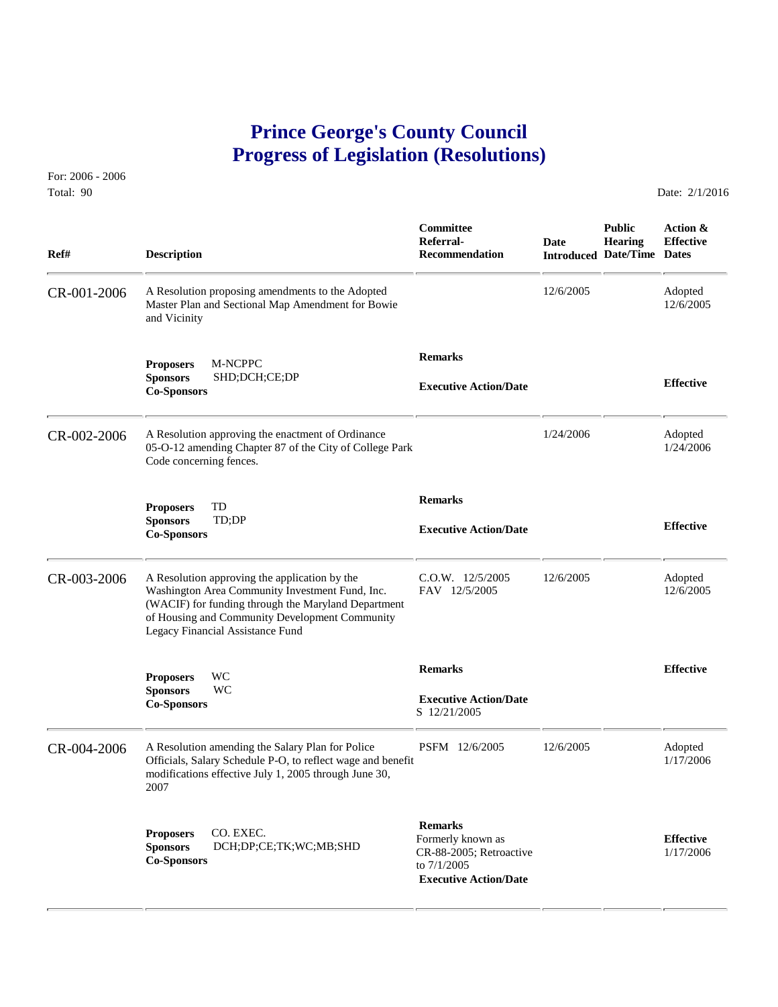# **Prince George's County Council Progress of Legislation (Resolutions)**

For: 2006 - 2006 Total: 90 Date: 2/1/2016

 **Committee Public Action & Referral- Date Hearing Effective Ref# Description Recommendation Introduced Date/Time Dates** CR-001-2006 A Resolution proposing amendments to the Adopted 12/6/2005 Adopted Master Plan and Sectional Map Amendment for Bowie 12/6/2005 12/6/2005 Master Plan and Sectional Map Amendment for Bowie and Vicinity  **Remarks Proposers** M-NCPPC **Sponsors** SHD;DCH;CE;DP **Effective Executive Action/Date Co-Sponsors**  CR-002-2006 A Resolution approving the enactment of Ordinance 1/24/2006 Adopted 1/24/2006 Adopted 1/24/2006 Adopted 1/24/2006 05-O-12 amending Chapter 87 of the City of College Park Code concerning fences.  **Remarks Proposers** TD **Sponsors** TD;DP **Effective Executive Action/Date Co-Sponsors**  CR-003-2006 A Resolution approving the application by the C.O.W. 12/5/2005 12/6/2005 Adopted Washington Area Community Investment Fund, Inc. FAV 12/5/2005 12/6/2005 12/6/2005 Washington Area Community Investment Fund, Inc. (WACIF) for funding through the Maryland Department of Housing and Community Development Community Legacy Financial Assistance Fund  **Remarks Effective Proposers** WC **Sponsors** WC **Executive Action/Date**<br> **Co-Sponsors S** 12/21/2005 CR-004-2006 A Resolution amending the Salary Plan for Police PSFM 12/6/2005 12/6/2005 Adopted Officials, Salary Schedule P-O, to reflect wage and benefit 1/17/2006 Officials, Salary Schedule P-O, to reflect wage and benefit modifications effective July 1, 2005 through June 30, 2007 **Remarks**<br> **Remarks**<br> **Proposers DCH;DP;CE;TK;WC;MB;SHD** CR-88-2005; Retroactive 1/17/2006<br> **Co-Sponsors Co-Sponsors CO-Sponsors CO-Sponsors CO-Sponsors CO-Sponsors CO-Sponsors CO-Sponsors Executive Action/Date**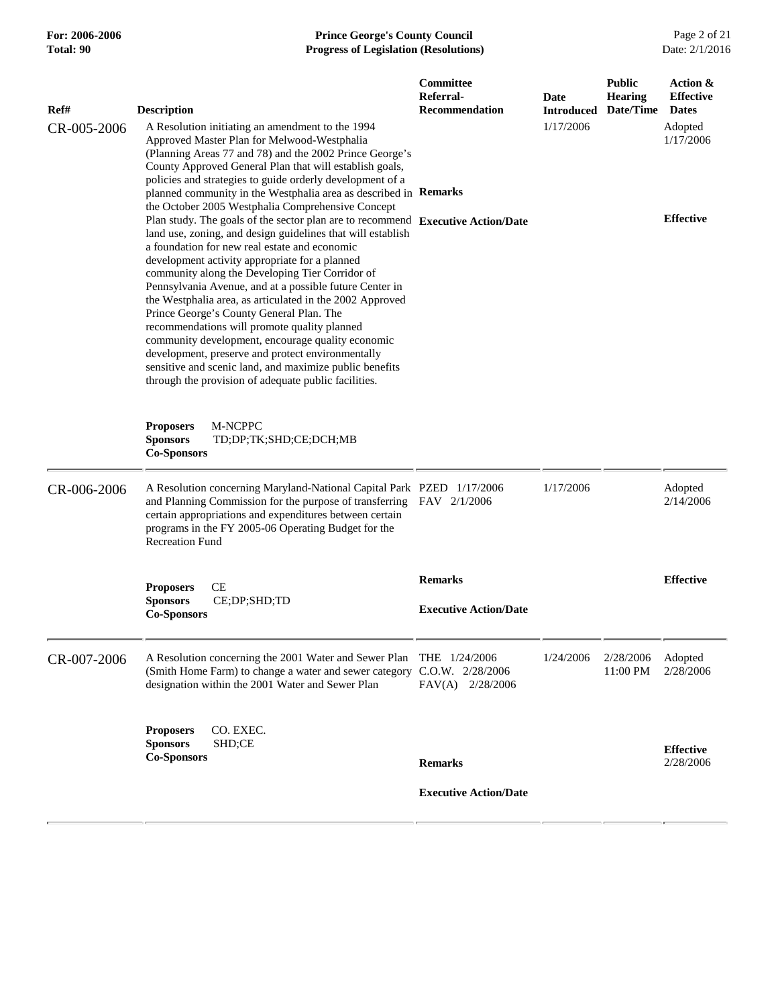#### **For: 2006-2006 Prince George's County Council** Page 2 of 21<br>**Progress of Legislation (Resolutions)** Date: 2/1/2016 **Total: 90 Progress of Legislation (Resolutions)**

| Ref#        | <b>Description</b>                                                                                                                                                                                                                                                                                                                                                                                                                                                                                                                                                                                                                                                                                                                                                                                        | Committee<br>Referral-<br><b>Recommendation</b> | Date<br><b>Introduced</b> | <b>Public</b><br><b>Hearing</b><br>Date/Time | Action &<br><b>Effective</b><br><b>Dates</b> |
|-------------|-----------------------------------------------------------------------------------------------------------------------------------------------------------------------------------------------------------------------------------------------------------------------------------------------------------------------------------------------------------------------------------------------------------------------------------------------------------------------------------------------------------------------------------------------------------------------------------------------------------------------------------------------------------------------------------------------------------------------------------------------------------------------------------------------------------|-------------------------------------------------|---------------------------|----------------------------------------------|----------------------------------------------|
| CR-005-2006 | A Resolution initiating an amendment to the 1994<br>Approved Master Plan for Melwood-Westphalia<br>(Planning Areas 77 and 78) and the 2002 Prince George's<br>County Approved General Plan that will establish goals,<br>policies and strategies to guide orderly development of a<br>planned community in the Westphalia area as described in Remarks                                                                                                                                                                                                                                                                                                                                                                                                                                                    |                                                 | 1/17/2006                 |                                              | Adopted<br>1/17/2006                         |
|             | the October 2005 Westphalia Comprehensive Concept<br>Plan study. The goals of the sector plan are to recommend Executive Action/Date<br>land use, zoning, and design guidelines that will establish<br>a foundation for new real estate and economic<br>development activity appropriate for a planned<br>community along the Developing Tier Corridor of<br>Pennsylvania Avenue, and at a possible future Center in<br>the Westphalia area, as articulated in the 2002 Approved<br>Prince George's County General Plan. The<br>recommendations will promote quality planned<br>community development, encourage quality economic<br>development, preserve and protect environmentally<br>sensitive and scenic land, and maximize public benefits<br>through the provision of adequate public facilities. |                                                 |                           |                                              | <b>Effective</b>                             |
|             | M-NCPPC<br><b>Proposers</b><br><b>Sponsors</b><br>TD;DP;TK;SHD;CE;DCH;MB<br><b>Co-Sponsors</b>                                                                                                                                                                                                                                                                                                                                                                                                                                                                                                                                                                                                                                                                                                            |                                                 |                           |                                              |                                              |
| CR-006-2006 | A Resolution concerning Maryland-National Capital Park PZED 1/17/2006<br>and Planning Commission for the purpose of transferring FAV 2/1/2006<br>certain appropriations and expenditures between certain<br>programs in the FY 2005-06 Operating Budget for the<br><b>Recreation Fund</b>                                                                                                                                                                                                                                                                                                                                                                                                                                                                                                                 |                                                 | 1/17/2006                 |                                              | Adopted<br>2/14/2006                         |
|             | CE<br><b>Proposers</b><br><b>Sponsors</b><br>CE;DP;SHD;TD<br><b>Co-Sponsors</b>                                                                                                                                                                                                                                                                                                                                                                                                                                                                                                                                                                                                                                                                                                                           | <b>Remarks</b><br><b>Executive Action/Date</b>  |                           |                                              | <b>Effective</b>                             |
| CR-007-2006 | A Resolution concerning the 2001 Water and Sewer Plan<br>(Smith Home Farm) to change a water and sewer category C.O.W. 2/28/2006<br>designation within the 2001 Water and Sewer Plan                                                                                                                                                                                                                                                                                                                                                                                                                                                                                                                                                                                                                      | THE $1/24/2006$<br>FAV(A) 2/28/2006             | 1/24/2006                 | 2/28/2006<br>11:00 PM                        | Adopted<br>2/28/2006                         |
|             | CO. EXEC.<br><b>Proposers</b><br>SHD;CE<br><b>Sponsors</b><br><b>Co-Sponsors</b>                                                                                                                                                                                                                                                                                                                                                                                                                                                                                                                                                                                                                                                                                                                          | <b>Remarks</b>                                  |                           |                                              | <b>Effective</b><br>2/28/2006                |
|             |                                                                                                                                                                                                                                                                                                                                                                                                                                                                                                                                                                                                                                                                                                                                                                                                           | <b>Executive Action/Date</b>                    |                           |                                              |                                              |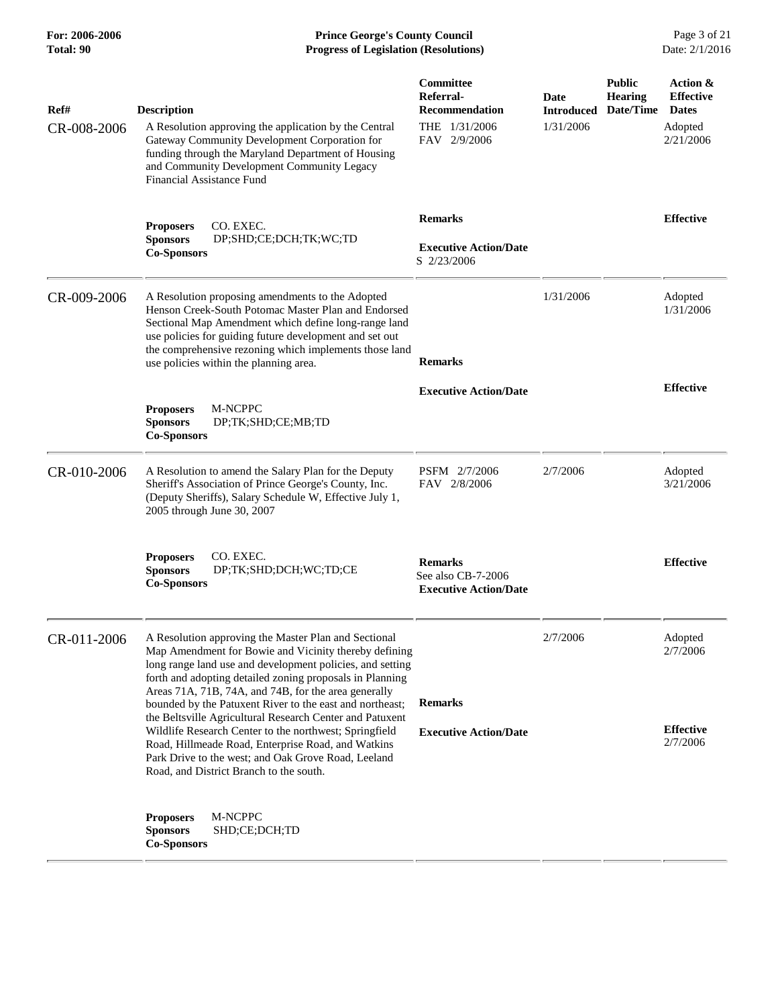**For: 2006-2006 Prince George's County Council** Page 3 of 21<br>**Prince George's County Council** Page 3 of 21<br>**Progress of Legislation (Resolutions)** Date: 2/1/2016 **Total: 90 Progress of Legislation (Resolutions)** 

| Ref#<br>CR-008-2006 | <b>Description</b><br>A Resolution approving the application by the Central<br>Gateway Community Development Corporation for<br>funding through the Maryland Department of Housing<br>and Community Development Community Legacy<br><b>Financial Assistance Fund</b>                                                                                                                                                                                                                                                                   | Committee<br>Referral-<br><b>Recommendation</b><br>THE 1/31/2006<br>FAV 2/9/2006 | Date<br><b>Introduced</b><br>1/31/2006 | <b>Public</b><br><b>Hearing</b><br>Date/Time | Action &<br><b>Effective</b><br><b>Dates</b><br>Adopted<br>2/21/2006 |
|---------------------|----------------------------------------------------------------------------------------------------------------------------------------------------------------------------------------------------------------------------------------------------------------------------------------------------------------------------------------------------------------------------------------------------------------------------------------------------------------------------------------------------------------------------------------|----------------------------------------------------------------------------------|----------------------------------------|----------------------------------------------|----------------------------------------------------------------------|
|                     | <b>Proposers</b><br>CO. EXEC.<br><b>Sponsors</b><br>DP;SHD;CE;DCH;TK;WC;TD<br><b>Co-Sponsors</b>                                                                                                                                                                                                                                                                                                                                                                                                                                       | <b>Remarks</b><br><b>Executive Action/Date</b><br>S 2/23/2006                    |                                        |                                              | <b>Effective</b>                                                     |
| CR-009-2006         | A Resolution proposing amendments to the Adopted<br>Henson Creek-South Potomac Master Plan and Endorsed<br>Sectional Map Amendment which define long-range land<br>use policies for guiding future development and set out<br>the comprehensive rezoning which implements those land<br>use policies within the planning area.                                                                                                                                                                                                         | <b>Remarks</b>                                                                   | 1/31/2006                              |                                              | Adopted<br>1/31/2006                                                 |
|                     | M-NCPPC<br><b>Proposers</b><br><b>Sponsors</b><br>DP;TK;SHD;CE;MB;TD<br><b>Co-Sponsors</b>                                                                                                                                                                                                                                                                                                                                                                                                                                             | <b>Executive Action/Date</b>                                                     |                                        |                                              | <b>Effective</b>                                                     |
| CR-010-2006         | A Resolution to amend the Salary Plan for the Deputy<br>Sheriff's Association of Prince George's County, Inc.<br>(Deputy Sheriffs), Salary Schedule W, Effective July 1,<br>2005 through June 30, 2007                                                                                                                                                                                                                                                                                                                                 | PSFM 2/7/2006<br>FAV 2/8/2006                                                    | 2/7/2006                               |                                              | Adopted<br>3/21/2006                                                 |
|                     | CO. EXEC.<br><b>Proposers</b><br><b>Sponsors</b><br>DP;TK;SHD;DCH;WC;TD;CE<br><b>Co-Sponsors</b>                                                                                                                                                                                                                                                                                                                                                                                                                                       | <b>Remarks</b><br>See also CB-7-2006<br><b>Executive Action/Date</b>             |                                        |                                              | <b>Effective</b>                                                     |
| CR-011-2006         | A Resolution approving the Master Plan and Sectional<br>Map Amendment for Bowie and Vicinity thereby defining<br>long range land use and development policies, and setting<br>forth and adopting detailed zoning proposals in Planning<br>Areas 71A, 71B, 74A, and 74B, for the area generally<br>bounded by the Patuxent River to the east and northeast;<br>the Beltsville Agricultural Research Center and Patuxent<br>Wildlife Research Center to the northwest; Springfield<br>Road, Hillmeade Road, Enterprise Road, and Watkins | <b>Remarks</b><br><b>Executive Action/Date</b>                                   | 2/7/2006                               |                                              | Adopted<br>2/7/2006<br><b>Effective</b><br>2/7/2006                  |
|                     | Park Drive to the west; and Oak Grove Road, Leeland<br>Road, and District Branch to the south.<br>M-NCPPC<br><b>Proposers</b><br>SHD;CE;DCH;TD<br><b>Sponsors</b><br><b>Co-Sponsors</b>                                                                                                                                                                                                                                                                                                                                                |                                                                                  |                                        |                                              |                                                                      |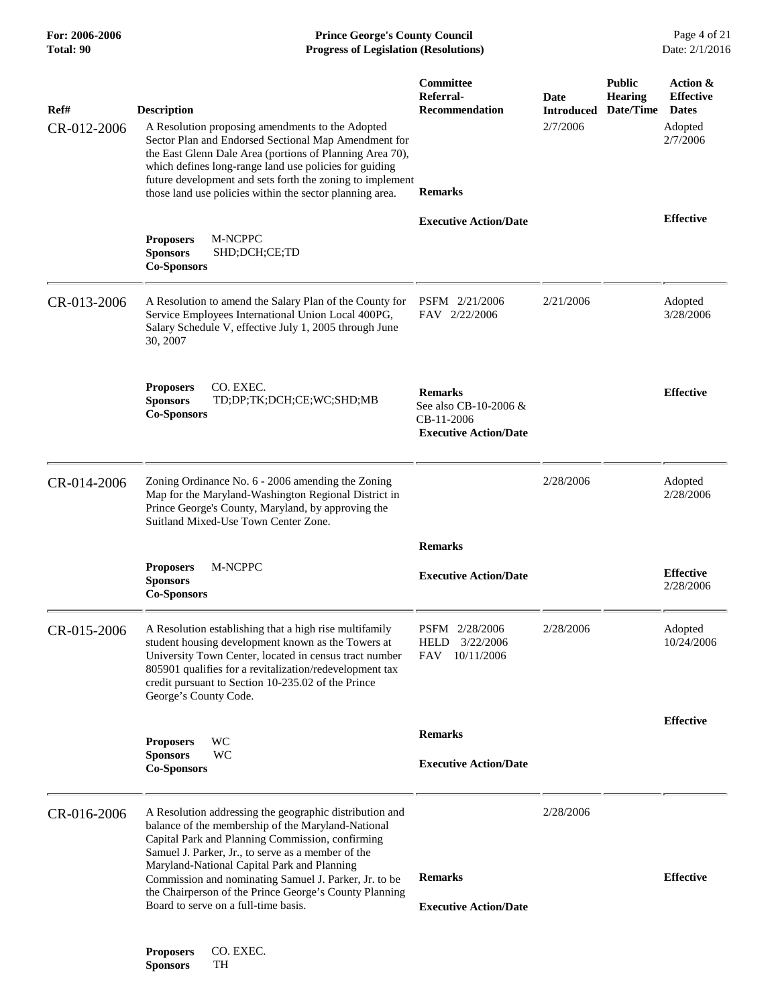| For: 2006-2006<br>Total: 90 | <b>Prince George's County Council</b><br>Date: 2/1/2016<br><b>Progress of Legislation (Resolutions)</b>                                                                                                                                                                                                                                                                                                                           |                                                                                       |                                       |                                              |                                                                     |
|-----------------------------|-----------------------------------------------------------------------------------------------------------------------------------------------------------------------------------------------------------------------------------------------------------------------------------------------------------------------------------------------------------------------------------------------------------------------------------|---------------------------------------------------------------------------------------|---------------------------------------|----------------------------------------------|---------------------------------------------------------------------|
| Ref#<br>CR-012-2006         | <b>Description</b><br>A Resolution proposing amendments to the Adopted<br>Sector Plan and Endorsed Sectional Map Amendment for<br>the East Glenn Dale Area (portions of Planning Area 70),<br>which defines long-range land use policies for guiding<br>future development and sets forth the zoning to implement<br>those land use policies within the sector planning area.                                                     | Committee<br>Referral-<br><b>Recommendation</b><br><b>Remarks</b>                     | Date<br><b>Introduced</b><br>2/7/2006 | <b>Public</b><br><b>Hearing</b><br>Date/Time | Action &<br><b>Effective</b><br><b>Dates</b><br>Adopted<br>2/7/2006 |
|                             | M-NCPPC<br><b>Proposers</b><br><b>Sponsors</b><br>SHD;DCH;CE;TD<br><b>Co-Sponsors</b>                                                                                                                                                                                                                                                                                                                                             | <b>Executive Action/Date</b>                                                          |                                       |                                              | <b>Effective</b>                                                    |
| CR-013-2006                 | A Resolution to amend the Salary Plan of the County for<br>Service Employees International Union Local 400PG,<br>Salary Schedule V, effective July 1, 2005 through June<br>30, 2007                                                                                                                                                                                                                                               | PSFM 2/21/2006<br>FAV 2/22/2006                                                       | 2/21/2006                             |                                              | Adopted<br>3/28/2006                                                |
|                             | <b>Proposers</b><br>CO. EXEC.<br><b>Sponsors</b><br>TD;DP;TK;DCH;CE;WC;SHD;MB<br><b>Co-Sponsors</b>                                                                                                                                                                                                                                                                                                                               | <b>Remarks</b><br>See also CB-10-2006 &<br>CB-11-2006<br><b>Executive Action/Date</b> |                                       |                                              | <b>Effective</b>                                                    |
| CR-014-2006                 | Zoning Ordinance No. 6 - 2006 amending the Zoning<br>Map for the Maryland-Washington Regional District in<br>Prince George's County, Maryland, by approving the<br>Suitland Mixed-Use Town Center Zone.                                                                                                                                                                                                                           |                                                                                       | 2/28/2006                             |                                              | Adopted<br>2/28/2006                                                |
|                             | M-NCPPC<br><b>Proposers</b><br><b>Sponsors</b><br><b>Co-Sponsors</b>                                                                                                                                                                                                                                                                                                                                                              | <b>Remarks</b><br><b>Executive Action/Date</b>                                        |                                       |                                              | <b>Effective</b><br>2/28/2006                                       |
| CR-015-2006                 | A Resolution establishing that a high rise multifamily<br>student housing development known as the Towers at<br>University Town Center, located in census tract number<br>805901 qualifies for a revitalization/redevelopment tax<br>credit pursuant to Section 10-235.02 of the Prince<br>George's County Code.                                                                                                                  | PSFM 2/28/2006<br><b>HELD</b><br>3/22/2006<br>FAV<br>10/11/2006                       | 2/28/2006                             |                                              | Adopted<br>10/24/2006                                               |
|                             | WC<br><b>Proposers</b><br>WC<br><b>Sponsors</b><br><b>Co-Sponsors</b>                                                                                                                                                                                                                                                                                                                                                             | <b>Remarks</b><br><b>Executive Action/Date</b>                                        |                                       |                                              | <b>Effective</b>                                                    |
| CR-016-2006                 | A Resolution addressing the geographic distribution and<br>balance of the membership of the Maryland-National<br>Capital Park and Planning Commission, confirming<br>Samuel J. Parker, Jr., to serve as a member of the<br>Maryland-National Capital Park and Planning<br>Commission and nominating Samuel J. Parker, Jr. to be<br>the Chairperson of the Prince George's County Planning<br>Board to serve on a full-time basis. | <b>Remarks</b><br><b>Executive Action/Date</b>                                        | 2/28/2006                             |                                              | <b>Effective</b>                                                    |
|                             | CO. EXEC.<br><b>Proposers</b>                                                                                                                                                                                                                                                                                                                                                                                                     |                                                                                       |                                       |                                              |                                                                     |

**Sponsors** TH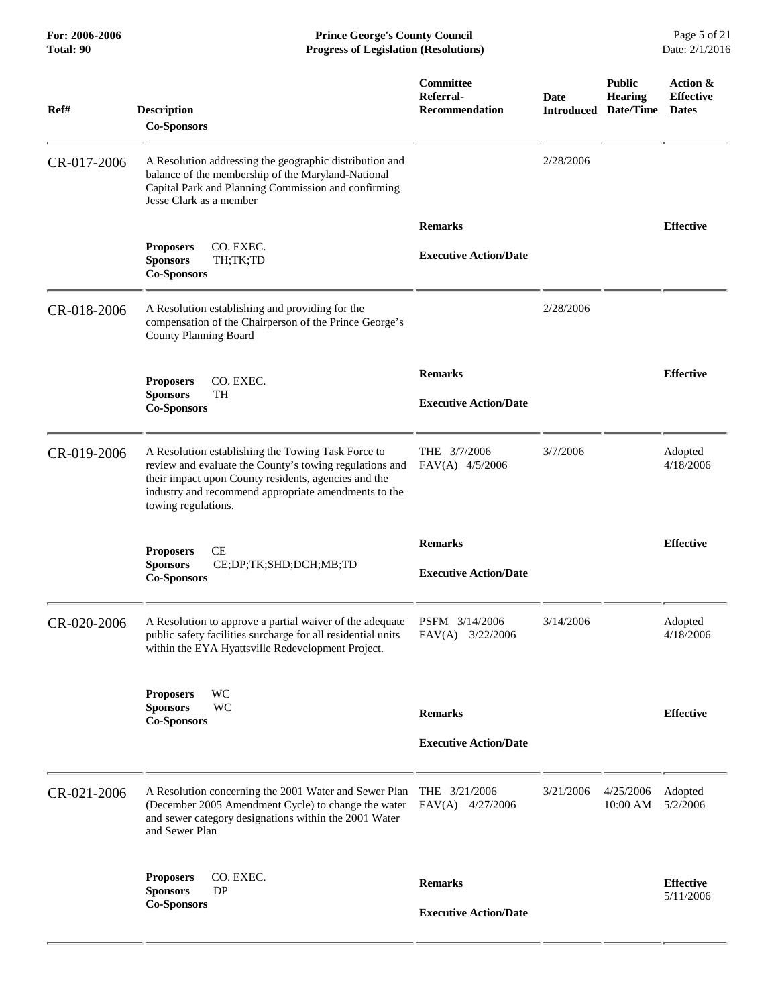**For: 2006-2006 Prince George's County Council** Page 5 of 21<br>**Prince George's County Council** Page 5 of 21<br>**Progress of Legislation (Resolutions)** Date: 2/1/2016 **Total: 90 Progress of Legislation (Resolutions)** 

| Ref#        | <b>Description</b><br><b>Co-Sponsors</b>                                                                                                                                                                                                             | Committee<br>Referral-<br><b>Recommendation</b> | <b>Date</b><br><b>Introduced</b> | <b>Public</b><br>Hearing<br>Date/Time | Action &<br><b>Effective</b><br><b>Dates</b> |
|-------------|------------------------------------------------------------------------------------------------------------------------------------------------------------------------------------------------------------------------------------------------------|-------------------------------------------------|----------------------------------|---------------------------------------|----------------------------------------------|
| CR-017-2006 | A Resolution addressing the geographic distribution and<br>balance of the membership of the Maryland-National<br>Capital Park and Planning Commission and confirming<br>Jesse Clark as a member                                                      |                                                 | 2/28/2006                        |                                       |                                              |
|             |                                                                                                                                                                                                                                                      | <b>Remarks</b>                                  |                                  |                                       | <b>Effective</b>                             |
|             | CO. EXEC.<br><b>Proposers</b><br><b>Sponsors</b><br>TH;TK;TD<br><b>Co-Sponsors</b>                                                                                                                                                                   | <b>Executive Action/Date</b>                    |                                  |                                       |                                              |
| CR-018-2006 | A Resolution establishing and providing for the<br>compensation of the Chairperson of the Prince George's<br><b>County Planning Board</b>                                                                                                            |                                                 | 2/28/2006                        |                                       |                                              |
|             |                                                                                                                                                                                                                                                      | <b>Remarks</b>                                  |                                  |                                       | <b>Effective</b>                             |
|             | CO. EXEC.<br><b>Proposers</b><br><b>Sponsors</b><br>TH                                                                                                                                                                                               |                                                 |                                  |                                       |                                              |
|             | <b>Co-Sponsors</b>                                                                                                                                                                                                                                   | <b>Executive Action/Date</b>                    |                                  |                                       |                                              |
| CR-019-2006 | A Resolution establishing the Towing Task Force to<br>review and evaluate the County's towing regulations and<br>their impact upon County residents, agencies and the<br>industry and recommend appropriate amendments to the<br>towing regulations. | THE $3/7/2006$<br>$FAV(A)$ 4/5/2006             | 3/7/2006                         |                                       | Adopted<br>4/18/2006                         |
|             | CE<br><b>Proposers</b><br><b>Sponsors</b><br>CE;DP;TK;SHD;DCH;MB;TD<br><b>Co-Sponsors</b>                                                                                                                                                            | <b>Remarks</b><br><b>Executive Action/Date</b>  |                                  |                                       | <b>Effective</b>                             |
| CR-020-2006 | A Resolution to approve a partial waiver of the adequate<br>public safety facilities surcharge for all residential units<br>within the EYA Hyattsville Redevelopment Project.                                                                        | PSFM 3/14/2006<br>$FAV(A)$ 3/22/2006            | 3/14/2006                        |                                       | Adopted<br>4/18/2006                         |
|             | <b>WC</b><br><b>Proposers</b><br><b>Sponsors</b><br>WC<br><b>Co-Sponsors</b>                                                                                                                                                                         | <b>Remarks</b>                                  |                                  |                                       | <b>Effective</b>                             |
|             |                                                                                                                                                                                                                                                      | <b>Executive Action/Date</b>                    |                                  |                                       |                                              |
| CR-021-2006 | A Resolution concerning the 2001 Water and Sewer Plan THE 3/21/2006<br>(December 2005 Amendment Cycle) to change the water<br>and sewer category designations within the 2001 Water<br>and Sewer Plan                                                | $FAV(A)$ 4/27/2006                              | 3/21/2006                        | 4/25/2006<br>10:00 AM                 | Adopted<br>5/2/2006                          |
|             | CO. EXEC.<br><b>Proposers</b>                                                                                                                                                                                                                        | <b>Remarks</b>                                  |                                  |                                       | <b>Effective</b>                             |
|             | <b>Sponsors</b><br>DP<br><b>Co-Sponsors</b>                                                                                                                                                                                                          |                                                 |                                  |                                       | 5/11/2006                                    |
|             |                                                                                                                                                                                                                                                      | <b>Executive Action/Date</b>                    |                                  |                                       |                                              |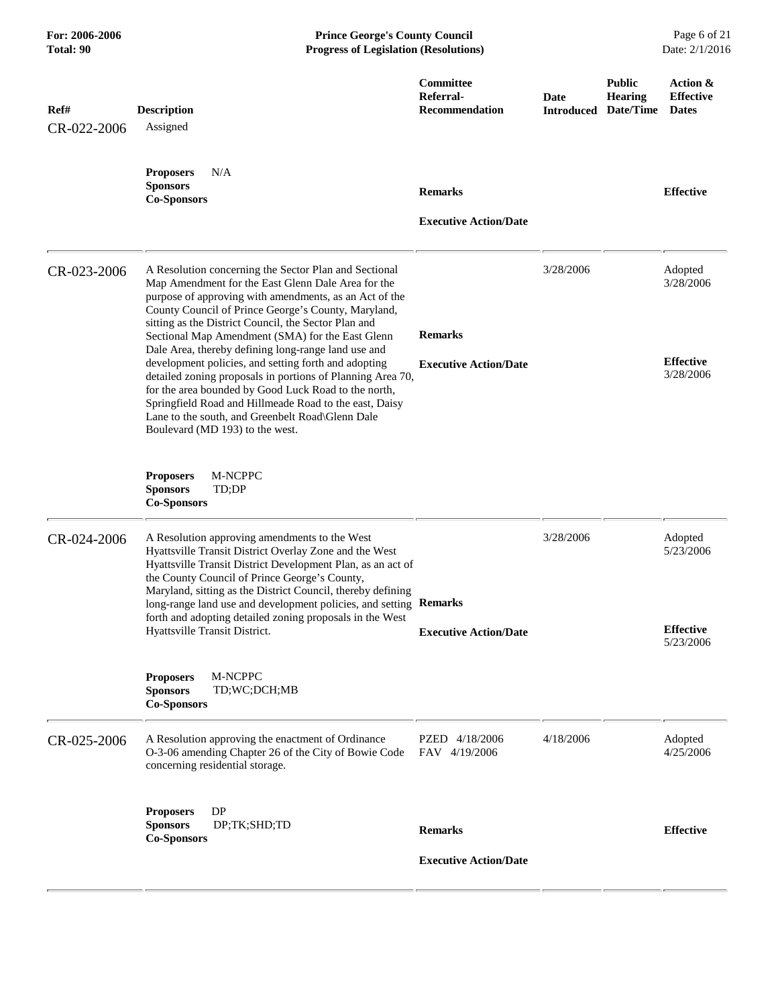| For: 2006-2006<br>Total: 90 | <b>Prince George's County Council</b><br><b>Progress of Legislation (Resolutions)</b>                                                                                                                                                                                                                                                                                                                                                                                                                                                                                                                                                                                                                                          |                                                 |                           |                                              | Page 6 of 21<br>Date: 2/1/2016                        |
|-----------------------------|--------------------------------------------------------------------------------------------------------------------------------------------------------------------------------------------------------------------------------------------------------------------------------------------------------------------------------------------------------------------------------------------------------------------------------------------------------------------------------------------------------------------------------------------------------------------------------------------------------------------------------------------------------------------------------------------------------------------------------|-------------------------------------------------|---------------------------|----------------------------------------------|-------------------------------------------------------|
| Ref#<br>CR-022-2006         | <b>Description</b><br>Assigned                                                                                                                                                                                                                                                                                                                                                                                                                                                                                                                                                                                                                                                                                                 | Committee<br>Referral-<br><b>Recommendation</b> | Date<br><b>Introduced</b> | <b>Public</b><br><b>Hearing</b><br>Date/Time | Action &<br><b>Effective</b><br><b>Dates</b>          |
|                             | <b>Proposers</b><br>N/A<br><b>Sponsors</b><br><b>Co-Sponsors</b>                                                                                                                                                                                                                                                                                                                                                                                                                                                                                                                                                                                                                                                               | <b>Remarks</b><br><b>Executive Action/Date</b>  |                           |                                              | <b>Effective</b>                                      |
| CR-023-2006                 | A Resolution concerning the Sector Plan and Sectional<br>Map Amendment for the East Glenn Dale Area for the<br>purpose of approving with amendments, as an Act of the<br>County Council of Prince George's County, Maryland,<br>sitting as the District Council, the Sector Plan and<br>Sectional Map Amendment (SMA) for the East Glenn<br>Dale Area, thereby defining long-range land use and<br>development policies, and setting forth and adopting<br>detailed zoning proposals in portions of Planning Area 70,<br>for the area bounded by Good Luck Road to the north,<br>Springfield Road and Hillmeade Road to the east, Daisy<br>Lane to the south, and Greenbelt Road\Glenn Dale<br>Boulevard (MD 193) to the west. | <b>Remarks</b><br><b>Executive Action/Date</b>  | 3/28/2006                 |                                              | Adopted<br>3/28/2006<br><b>Effective</b><br>3/28/2006 |
|                             | M-NCPPC<br><b>Proposers</b><br><b>Sponsors</b><br>TD;DP<br><b>Co-Sponsors</b>                                                                                                                                                                                                                                                                                                                                                                                                                                                                                                                                                                                                                                                  |                                                 |                           |                                              |                                                       |
| CR-024-2006                 | A Resolution approving amendments to the West<br>Hyattsville Transit District Overlay Zone and the West<br>Hyattsville Transit District Development Plan, as an act of<br>the County Council of Prince George's County,<br>Maryland, sitting as the District Council, thereby defining<br>long-range land use and development policies, and setting Remarks<br>forth and adopting detailed zoning proposals in the West<br>Hyattsville Transit District.                                                                                                                                                                                                                                                                       | <b>Executive Action/Date</b>                    | 3/28/2006                 |                                              | Adopted<br>5/23/2006<br><b>Effective</b>              |
|                             | M-NCPPC<br><b>Proposers</b><br><b>Sponsors</b><br>TD;WC;DCH;MB<br><b>Co-Sponsors</b>                                                                                                                                                                                                                                                                                                                                                                                                                                                                                                                                                                                                                                           |                                                 |                           |                                              | 5/23/2006                                             |
| CR-025-2006                 | A Resolution approving the enactment of Ordinance<br>O-3-06 amending Chapter 26 of the City of Bowie Code<br>concerning residential storage.                                                                                                                                                                                                                                                                                                                                                                                                                                                                                                                                                                                   | PZED 4/18/2006<br>FAV 4/19/2006                 | 4/18/2006                 |                                              | Adopted<br>4/25/2006                                  |
|                             | DP<br><b>Proposers</b><br><b>Sponsors</b><br>DP;TK;SHD;TD<br><b>Co-Sponsors</b>                                                                                                                                                                                                                                                                                                                                                                                                                                                                                                                                                                                                                                                | <b>Remarks</b><br><b>Executive Action/Date</b>  |                           |                                              | <b>Effective</b>                                      |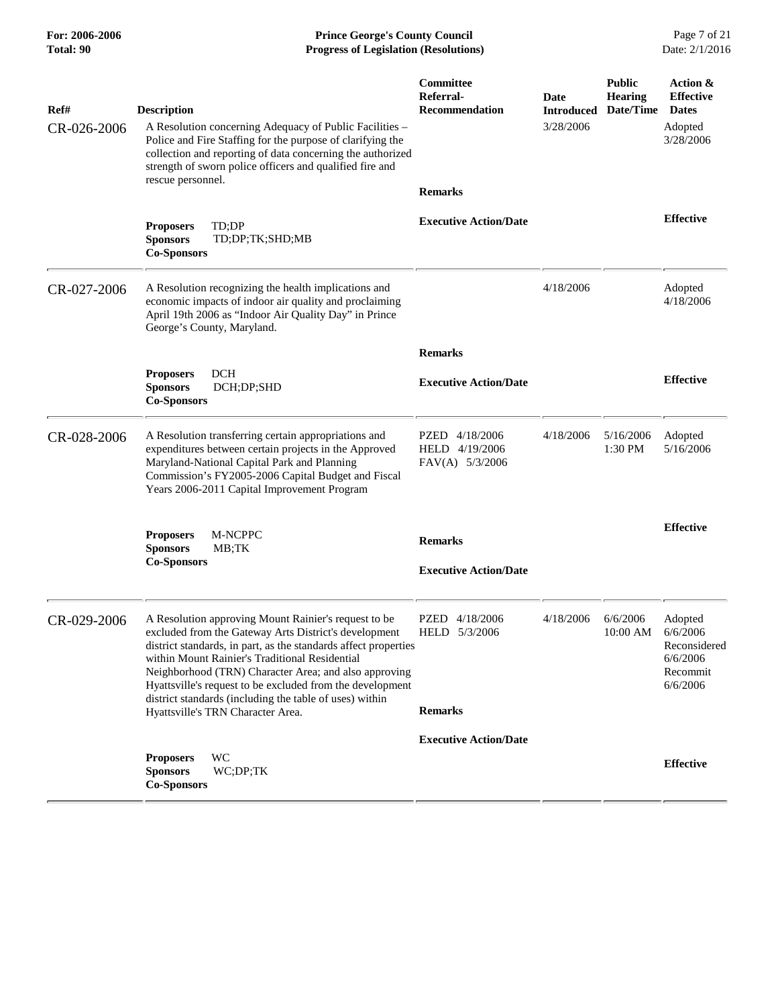**For: 2006-2006 Prince George's County Council** Page 7 of 21<br>**Progress of Legislation (Resolutions)** Date: 2/1/2016 **Total: 90 Progress of Legislation (Resolutions)** 

| Ref#        | <b>Description</b>                                                                                                                                                                                                                                                                                                                                                                                                  | Committee<br>Referral-<br><b>Recommendation</b>     | <b>Date</b><br><b>Introduced</b> | <b>Public</b><br><b>Hearing</b><br>Date/Time | Action &<br><b>Effective</b><br><b>Dates</b>                            |
|-------------|---------------------------------------------------------------------------------------------------------------------------------------------------------------------------------------------------------------------------------------------------------------------------------------------------------------------------------------------------------------------------------------------------------------------|-----------------------------------------------------|----------------------------------|----------------------------------------------|-------------------------------------------------------------------------|
| CR-026-2006 | A Resolution concerning Adequacy of Public Facilities –<br>Police and Fire Staffing for the purpose of clarifying the<br>collection and reporting of data concerning the authorized<br>strength of sworn police officers and qualified fire and                                                                                                                                                                     |                                                     | 3/28/2006                        |                                              | Adopted<br>3/28/2006                                                    |
|             | rescue personnel.                                                                                                                                                                                                                                                                                                                                                                                                   | <b>Remarks</b>                                      |                                  |                                              |                                                                         |
|             | TD:DP<br><b>Proposers</b><br><b>Sponsors</b><br>TD;DP;TK;SHD;MB<br><b>Co-Sponsors</b>                                                                                                                                                                                                                                                                                                                               | <b>Executive Action/Date</b>                        |                                  |                                              | <b>Effective</b>                                                        |
| CR-027-2006 | A Resolution recognizing the health implications and<br>economic impacts of indoor air quality and proclaiming<br>April 19th 2006 as "Indoor Air Quality Day" in Prince<br>George's County, Maryland.                                                                                                                                                                                                               |                                                     | 4/18/2006                        |                                              | Adopted<br>4/18/2006                                                    |
|             |                                                                                                                                                                                                                                                                                                                                                                                                                     | <b>Remarks</b>                                      |                                  |                                              |                                                                         |
|             | DCH<br><b>Proposers</b><br><b>Sponsors</b><br>DCH;DP;SHD<br><b>Co-Sponsors</b>                                                                                                                                                                                                                                                                                                                                      | <b>Executive Action/Date</b>                        |                                  |                                              | <b>Effective</b>                                                        |
| CR-028-2006 | A Resolution transferring certain appropriations and<br>expenditures between certain projects in the Approved<br>Maryland-National Capital Park and Planning<br>Commission's FY2005-2006 Capital Budget and Fiscal<br>Years 2006-2011 Capital Improvement Program                                                                                                                                                   | PZED 4/18/2006<br>HELD 4/19/2006<br>FAV(A) 5/3/2006 | 4/18/2006                        | 5/16/2006<br>1:30 PM                         | Adopted<br>5/16/2006                                                    |
|             | <b>Proposers</b><br>M-NCPPC                                                                                                                                                                                                                                                                                                                                                                                         |                                                     |                                  |                                              | <b>Effective</b>                                                        |
|             | <b>Sponsors</b><br>MB;TK<br><b>Co-Sponsors</b>                                                                                                                                                                                                                                                                                                                                                                      | <b>Remarks</b><br><b>Executive Action/Date</b>      |                                  |                                              |                                                                         |
| CR-029-2006 | A Resolution approving Mount Rainier's request to be<br>excluded from the Gateway Arts District's development<br>district standards, in part, as the standards affect properties<br>within Mount Rainier's Traditional Residential<br>Neighborhood (TRN) Character Area; and also approving<br>Hyattsville's request to be excluded from the development<br>district standards (including the table of uses) within | PZED 4/18/2006<br>HELD 5/3/2006                     | 4/18/2006                        | 6/6/2006<br>10:00 AM                         | Adopted<br>6/6/2006<br>Reconsidered<br>6/6/2006<br>Recommit<br>6/6/2006 |
|             | Hyattsville's TRN Character Area.                                                                                                                                                                                                                                                                                                                                                                                   | <b>Remarks</b>                                      |                                  |                                              |                                                                         |
|             |                                                                                                                                                                                                                                                                                                                                                                                                                     | <b>Executive Action/Date</b>                        |                                  |                                              |                                                                         |
|             | <b>WC</b><br><b>Proposers</b><br><b>Sponsors</b><br>WC;DP;TK<br><b>Co-Sponsors</b>                                                                                                                                                                                                                                                                                                                                  |                                                     |                                  |                                              | <b>Effective</b>                                                        |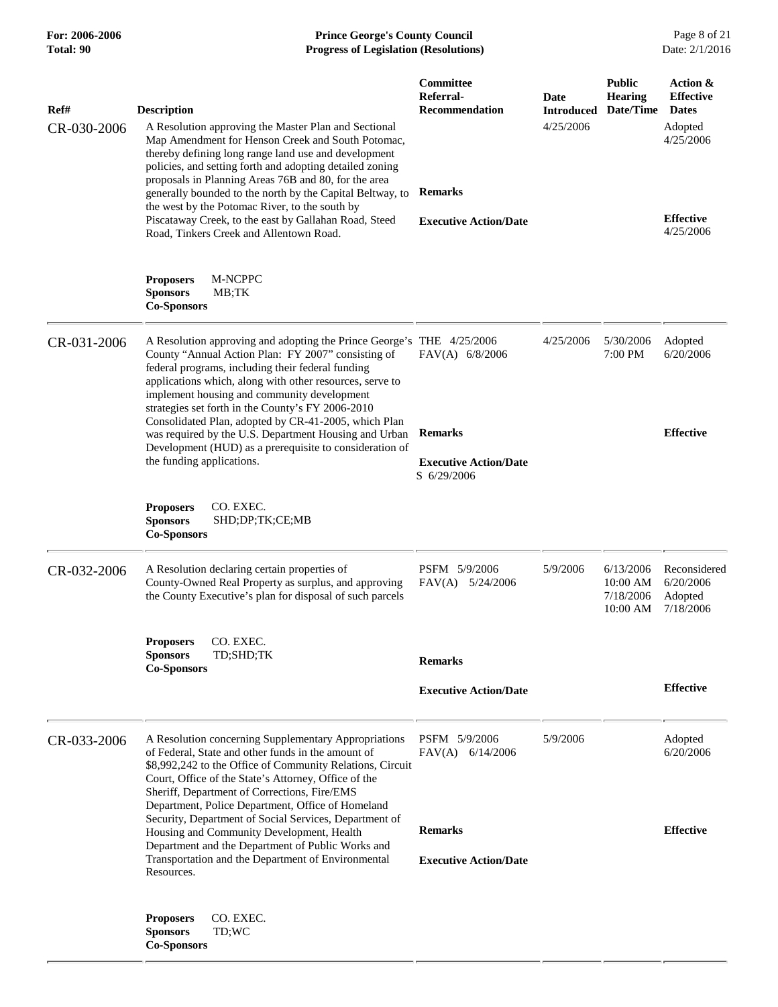| For: 2006-2006<br>Total: 90 | <b>Prince George's County Council</b><br>Date: 2/1/2016<br><b>Progress of Legislation (Resolutions)</b>                                                                                                                                                                                                                                                                                                  |                                                            |                                        |                                                                  |                                                                      |
|-----------------------------|----------------------------------------------------------------------------------------------------------------------------------------------------------------------------------------------------------------------------------------------------------------------------------------------------------------------------------------------------------------------------------------------------------|------------------------------------------------------------|----------------------------------------|------------------------------------------------------------------|----------------------------------------------------------------------|
| Ref#<br>CR-030-2006         | <b>Description</b><br>A Resolution approving the Master Plan and Sectional<br>Map Amendment for Henson Creek and South Potomac,<br>thereby defining long range land use and development<br>policies, and setting forth and adopting detailed zoning<br>proposals in Planning Areas 76B and 80, for the area<br>generally bounded to the north by the Capital Beltway, to                                 | Committee<br>Referral-<br>Recommendation<br><b>Remarks</b> | Date<br><b>Introduced</b><br>4/25/2006 | <b>Public</b><br><b>Hearing</b><br>Date/Time                     | Action &<br><b>Effective</b><br><b>Dates</b><br>Adopted<br>4/25/2006 |
|                             | the west by the Potomac River, to the south by<br>Piscataway Creek, to the east by Gallahan Road, Steed<br>Road, Tinkers Creek and Allentown Road.<br><b>Proposers</b><br>M-NCPPC<br><b>Sponsors</b><br>MB;TK                                                                                                                                                                                            | <b>Executive Action/Date</b>                               |                                        |                                                                  | <b>Effective</b><br>4/25/2006                                        |
|                             | <b>Co-Sponsors</b>                                                                                                                                                                                                                                                                                                                                                                                       |                                                            |                                        |                                                                  |                                                                      |
| CR-031-2006                 | A Resolution approving and adopting the Prince George's THE 4/25/2006<br>County "Annual Action Plan: FY 2007" consisting of<br>federal programs, including their federal funding<br>applications which, along with other resources, serve to<br>implement housing and community development<br>strategies set forth in the County's FY 2006-2010<br>Consolidated Plan, adopted by CR-41-2005, which Plan | FAV(A) 6/8/2006                                            | 4/25/2006                              | 5/30/2006<br>7:00 PM                                             | Adopted<br>6/20/2006                                                 |
|                             | was required by the U.S. Department Housing and Urban<br>Development (HUD) as a prerequisite to consideration of                                                                                                                                                                                                                                                                                         | <b>Remarks</b>                                             |                                        |                                                                  | <b>Effective</b>                                                     |
|                             | the funding applications.                                                                                                                                                                                                                                                                                                                                                                                | <b>Executive Action/Date</b><br>S 6/29/2006                |                                        |                                                                  |                                                                      |
|                             | CO. EXEC.<br><b>Proposers</b><br><b>Sponsors</b><br>SHD;DP;TK;CE;MB<br><b>Co-Sponsors</b>                                                                                                                                                                                                                                                                                                                |                                                            |                                        |                                                                  |                                                                      |
| CR-032-2006                 | A Resolution declaring certain properties of<br>County-Owned Real Property as surplus, and approving<br>the County Executive's plan for disposal of such parcels                                                                                                                                                                                                                                         | PSFM 5/9/2006<br>$FAV(A)$ 5/24/2006                        | 5/9/2006                               | 6/13/2006<br>10:00 AM<br>7/18/2006 Adopted<br>10:00 AM 7/18/2006 | Reconsidered<br>6/20/2006                                            |
|                             | CO. EXEC.<br><b>Proposers</b><br>TD;SHD;TK<br><b>Sponsors</b>                                                                                                                                                                                                                                                                                                                                            |                                                            |                                        |                                                                  |                                                                      |
|                             | <b>Co-Sponsors</b>                                                                                                                                                                                                                                                                                                                                                                                       | <b>Remarks</b>                                             |                                        |                                                                  | <b>Effective</b>                                                     |
|                             |                                                                                                                                                                                                                                                                                                                                                                                                          | <b>Executive Action/Date</b>                               |                                        |                                                                  |                                                                      |
| CR-033-2006                 | A Resolution concerning Supplementary Appropriations<br>of Federal, State and other funds in the amount of<br>\$8,992,242 to the Office of Community Relations, Circuit<br>Court, Office of the State's Attorney, Office of the<br>Sheriff, Department of Corrections, Fire/EMS<br>Department, Police Department, Office of Homeland                                                                     | PSFM 5/9/2006<br>$FAV(A)$ 6/14/2006                        | 5/9/2006                               |                                                                  | Adopted<br>6/20/2006                                                 |
|                             | Security, Department of Social Services, Department of<br>Housing and Community Development, Health                                                                                                                                                                                                                                                                                                      | <b>Remarks</b>                                             |                                        |                                                                  | <b>Effective</b>                                                     |
|                             | Department and the Department of Public Works and<br>Transportation and the Department of Environmental<br>Resources.                                                                                                                                                                                                                                                                                    | <b>Executive Action/Date</b>                               |                                        |                                                                  |                                                                      |
|                             | CO. EXEC.<br><b>Proposers</b><br><b>Sponsors</b><br>TD;WC<br><b>Co-Sponsors</b>                                                                                                                                                                                                                                                                                                                          |                                                            |                                        |                                                                  |                                                                      |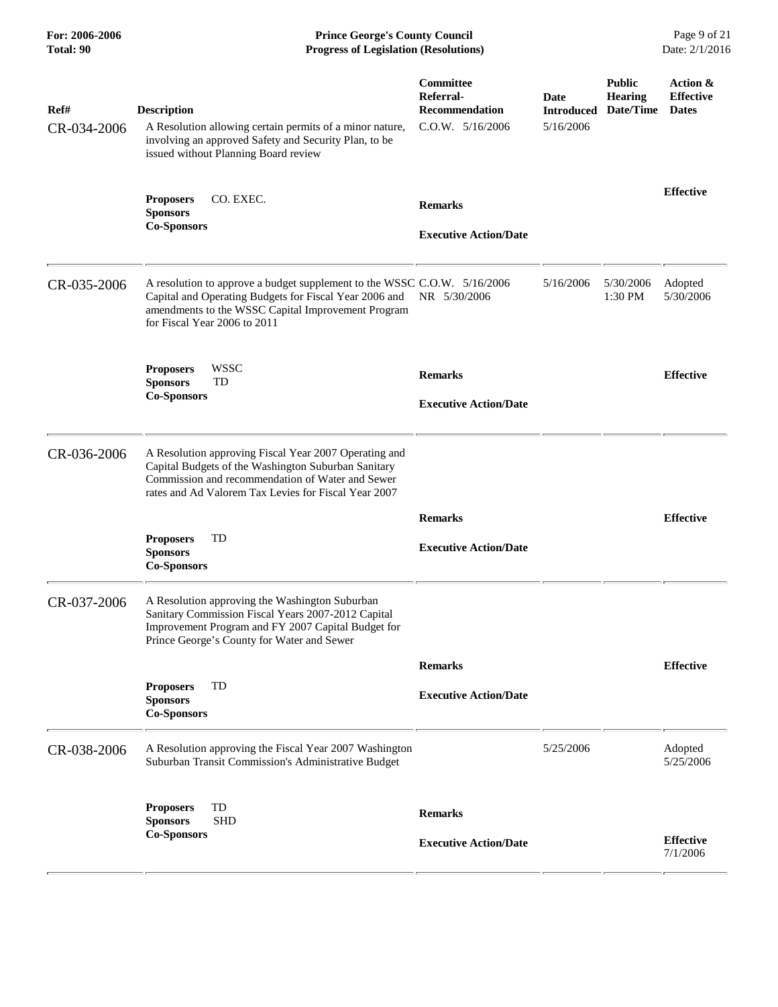**For: 2006-2006 Prince George's County Council** Page 9 of 21<br> **Prince George's County Council** Page 9 of 21<br> **Progress of Legislation (Resolutions)** Date: 2/1/2016 **Total: 90 Progress of Legislation (Resolutions)** 

| Ref#<br>CR-034-2006 | <b>Description</b><br>A Resolution allowing certain permits of a minor nature,<br>involving an approved Safety and Security Plan, to be<br>issued without Planning Board review                                          | Committee<br>Referral-<br><b>Recommendation</b><br>$C.0.W.$ $5/16/2006$ | Date<br><b>Introduced</b><br>5/16/2006 | <b>Public</b><br><b>Hearing</b><br>Date/Time | Action &<br><b>Effective</b><br><b>Dates</b> |
|---------------------|--------------------------------------------------------------------------------------------------------------------------------------------------------------------------------------------------------------------------|-------------------------------------------------------------------------|----------------------------------------|----------------------------------------------|----------------------------------------------|
|                     | CO. EXEC.<br><b>Proposers</b><br><b>Sponsors</b><br><b>Co-Sponsors</b>                                                                                                                                                   | <b>Remarks</b><br><b>Executive Action/Date</b>                          |                                        |                                              | <b>Effective</b>                             |
| CR-035-2006         | A resolution to approve a budget supplement to the WSSC C.O.W. 5/16/2006<br>Capital and Operating Budgets for Fiscal Year 2006 and<br>amendments to the WSSC Capital Improvement Program<br>for Fiscal Year 2006 to 2011 | NR 5/30/2006                                                            | 5/16/2006                              | 5/30/2006<br>1:30 PM                         | Adopted<br>5/30/2006                         |
|                     | <b>WSSC</b><br><b>Proposers</b><br><b>Sponsors</b><br>TD<br><b>Co-Sponsors</b>                                                                                                                                           | <b>Remarks</b><br><b>Executive Action/Date</b>                          |                                        |                                              | <b>Effective</b>                             |
| CR-036-2006         | A Resolution approving Fiscal Year 2007 Operating and<br>Capital Budgets of the Washington Suburban Sanitary<br>Commission and recommendation of Water and Sewer<br>rates and Ad Valorem Tax Levies for Fiscal Year 2007 |                                                                         |                                        |                                              |                                              |
|                     | <b>Proposers</b><br>TD<br><b>Sponsors</b><br><b>Co-Sponsors</b>                                                                                                                                                          | <b>Remarks</b><br><b>Executive Action/Date</b>                          |                                        |                                              | <b>Effective</b>                             |
| CR-037-2006         | A Resolution approving the Washington Suburban<br>Sanitary Commission Fiscal Years 2007-2012 Capital<br>Improvement Program and FY 2007 Capital Budget for<br>Prince George's County for Water and Sewer                 |                                                                         |                                        |                                              |                                              |
|                     | TD<br><b>Proposers</b><br><b>Sponsors</b><br><b>Co-Sponsors</b>                                                                                                                                                          | <b>Remarks</b><br><b>Executive Action/Date</b>                          |                                        |                                              | <b>Effective</b>                             |
| CR-038-2006         | A Resolution approving the Fiscal Year 2007 Washington<br>Suburban Transit Commission's Administrative Budget                                                                                                            |                                                                         | 5/25/2006                              |                                              | Adopted<br>5/25/2006                         |
|                     | TD<br><b>Proposers</b><br><b>Sponsors</b><br><b>SHD</b><br><b>Co-Sponsors</b>                                                                                                                                            | <b>Remarks</b><br><b>Executive Action/Date</b>                          |                                        |                                              | <b>Effective</b><br>7/1/2006                 |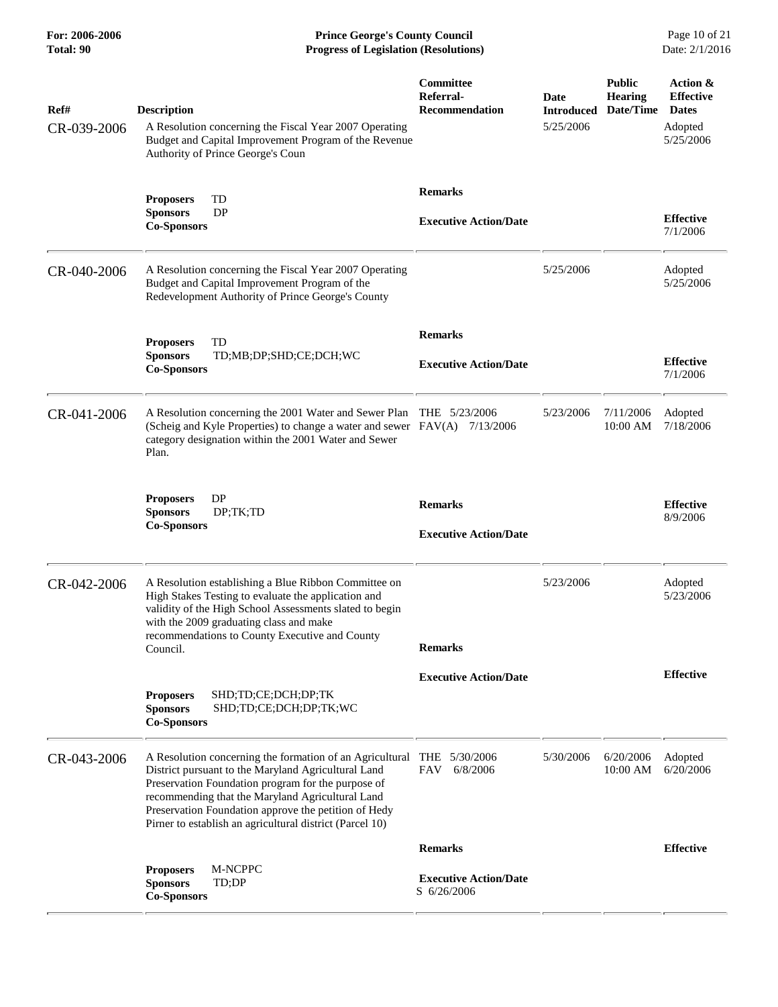**For: 2006-2006 Prince George's County Council** Page 10 of 21 **Progress of Legislation (Resolutions)** Page 10 of 21 **Progress of Legislation (Resolutions)** Date: 2/1/2016 **Total: 90 Progress of Legislation (Resolutions)** 

| Ref#<br>CR-039-2006 | <b>Description</b><br>A Resolution concerning the Fiscal Year 2007 Operating<br>Budget and Capital Improvement Program of the Revenue<br>Authority of Prince George's Coun                                                                                                                                                                    | Committee<br>Referral-<br><b>Recommendation</b> | Date<br><b>Introduced</b><br>5/25/2006 | <b>Public</b><br><b>Hearing</b><br>Date/Time | Action &<br><b>Effective</b><br><b>Dates</b><br>Adopted<br>5/25/2006 |
|---------------------|-----------------------------------------------------------------------------------------------------------------------------------------------------------------------------------------------------------------------------------------------------------------------------------------------------------------------------------------------|-------------------------------------------------|----------------------------------------|----------------------------------------------|----------------------------------------------------------------------|
|                     | <b>Proposers</b><br>TD<br><b>DP</b><br><b>Sponsors</b><br><b>Co-Sponsors</b>                                                                                                                                                                                                                                                                  | <b>Remarks</b><br><b>Executive Action/Date</b>  |                                        |                                              | <b>Effective</b><br>7/1/2006                                         |
| CR-040-2006         | A Resolution concerning the Fiscal Year 2007 Operating<br>Budget and Capital Improvement Program of the<br>Redevelopment Authority of Prince George's County                                                                                                                                                                                  |                                                 | 5/25/2006                              |                                              | Adopted<br>5/25/2006                                                 |
|                     | TD<br><b>Proposers</b><br><b>Sponsors</b><br>TD;MB;DP;SHD;CE;DCH;WC<br><b>Co-Sponsors</b>                                                                                                                                                                                                                                                     | <b>Remarks</b><br><b>Executive Action/Date</b>  |                                        |                                              | <b>Effective</b><br>7/1/2006                                         |
| CR-041-2006         | A Resolution concerning the 2001 Water and Sewer Plan<br>(Scheig and Kyle Properties) to change a water and sewer FAV(A) 7/13/2006<br>category designation within the 2001 Water and Sewer<br>Plan.                                                                                                                                           | THE 5/23/2006                                   | 5/23/2006                              | 7/11/2006<br>10:00 AM                        | Adopted<br>7/18/2006                                                 |
|                     | DP<br><b>Proposers</b><br><b>Sponsors</b><br>DP;TK;TD<br><b>Co-Sponsors</b>                                                                                                                                                                                                                                                                   | <b>Remarks</b><br><b>Executive Action/Date</b>  |                                        |                                              | <b>Effective</b><br>8/9/2006                                         |
| CR-042-2006         | A Resolution establishing a Blue Ribbon Committee on<br>High Stakes Testing to evaluate the application and<br>validity of the High School Assessments slated to begin<br>with the 2009 graduating class and make<br>recommendations to County Executive and County<br>Council.                                                               | <b>Remarks</b>                                  | 5/23/2006                              |                                              | Adopted<br>5/23/2006                                                 |
|                     | <b>Proposers</b><br>SHD;TD;CE;DCH;DP;TK<br>SHD;TD;CE;DCH;DP;TK;WC<br><b>Sponsors</b><br><b>Co-Sponsors</b>                                                                                                                                                                                                                                    | <b>Executive Action/Date</b>                    |                                        |                                              | <b>Effective</b>                                                     |
| CR-043-2006         | A Resolution concerning the formation of an Agricultural<br>District pursuant to the Maryland Agricultural Land<br>Preservation Foundation program for the purpose of<br>recommending that the Maryland Agricultural Land<br>Preservation Foundation approve the petition of Hedy<br>Pirner to establish an agricultural district (Parcel 10) | THE 5/30/2006<br>FAV<br>6/8/2006                | 5/30/2006                              | 6/20/2006<br>10:00 AM                        | Adopted<br>6/20/2006                                                 |
|                     |                                                                                                                                                                                                                                                                                                                                               | <b>Remarks</b>                                  |                                        |                                              | <b>Effective</b>                                                     |
|                     | M-NCPPC<br><b>Proposers</b><br><b>Sponsors</b><br>TD;DP<br><b>Co-Sponsors</b>                                                                                                                                                                                                                                                                 | <b>Executive Action/Date</b><br>S 6/26/2006     |                                        |                                              |                                                                      |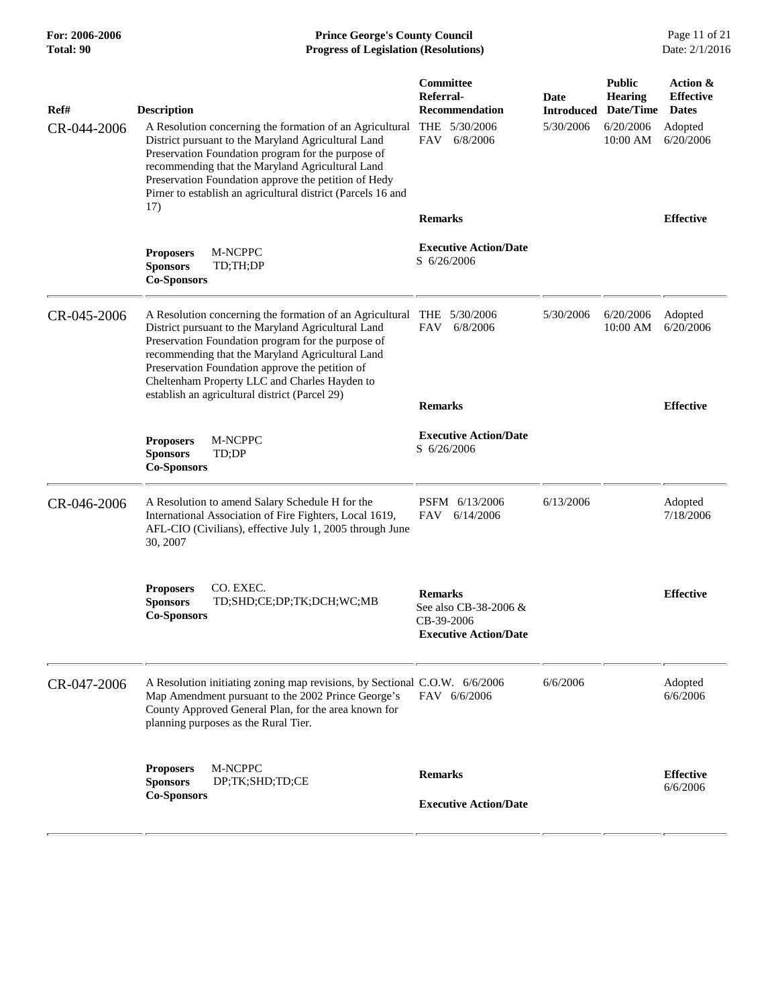# **For: 2006-2006 Prince George's County Council** Page 11 of 21 **Progress of Legislation (Resolutions)** Page 11 of 21 **Progress of Legislation (Resolutions)** Date: 2/1/2016 **Total: 90 Progress of Legislation (Resolutions)**

| Ref#        | <b>Description</b>                                                                                                                                                                                                                                                                                                                                                              | Committee<br><b>Referral-</b><br><b>Recommendation</b><br>THE 5/30/2006               | <b>Date</b><br><b>Introduced</b><br>5/30/2006 | <b>Public</b><br><b>Hearing</b><br>Date/Time<br>6/20/2006 | Action &<br><b>Effective</b><br><b>Dates</b> |
|-------------|---------------------------------------------------------------------------------------------------------------------------------------------------------------------------------------------------------------------------------------------------------------------------------------------------------------------------------------------------------------------------------|---------------------------------------------------------------------------------------|-----------------------------------------------|-----------------------------------------------------------|----------------------------------------------|
| CR-044-2006 | A Resolution concerning the formation of an Agricultural<br>District pursuant to the Maryland Agricultural Land<br>Preservation Foundation program for the purpose of<br>recommending that the Maryland Agricultural Land<br>Preservation Foundation approve the petition of Hedy<br>Pirner to establish an agricultural district (Parcels 16 and                               | <b>FAV</b><br>6/8/2006                                                                |                                               | 10:00 AM                                                  | Adopted<br>6/20/2006                         |
|             | 17)                                                                                                                                                                                                                                                                                                                                                                             | <b>Remarks</b>                                                                        |                                               |                                                           | <b>Effective</b>                             |
|             | <b>Proposers</b><br>M-NCPPC<br><b>Sponsors</b><br>TD;TH;DP<br><b>Co-Sponsors</b>                                                                                                                                                                                                                                                                                                | <b>Executive Action/Date</b><br>S 6/26/2006                                           |                                               |                                                           |                                              |
| CR-045-2006 | A Resolution concerning the formation of an Agricultural<br>District pursuant to the Maryland Agricultural Land<br>Preservation Foundation program for the purpose of<br>recommending that the Maryland Agricultural Land<br>Preservation Foundation approve the petition of<br>Cheltenham Property LLC and Charles Hayden to<br>establish an agricultural district (Parcel 29) | THE 5/30/2006<br><b>FAV</b><br>6/8/2006                                               | 5/30/2006                                     | 6/20/2006<br>10:00 AM                                     | Adopted<br>6/20/2006                         |
|             |                                                                                                                                                                                                                                                                                                                                                                                 | <b>Remarks</b>                                                                        |                                               |                                                           | <b>Effective</b>                             |
|             | M-NCPPC<br><b>Proposers</b><br><b>Sponsors</b><br>TD;DP<br><b>Co-Sponsors</b>                                                                                                                                                                                                                                                                                                   | <b>Executive Action/Date</b><br>S 6/26/2006                                           |                                               |                                                           |                                              |
| CR-046-2006 | A Resolution to amend Salary Schedule H for the<br>International Association of Fire Fighters, Local 1619,<br>AFL-CIO (Civilians), effective July 1, 2005 through June<br>30, 2007                                                                                                                                                                                              | PSFM 6/13/2006<br>FAV<br>6/14/2006                                                    | 6/13/2006                                     |                                                           | Adopted<br>7/18/2006                         |
|             | <b>Proposers</b><br>CO. EXEC.<br><b>Sponsors</b><br>TD;SHD;CE;DP;TK;DCH;WC;MB<br><b>Co-Sponsors</b>                                                                                                                                                                                                                                                                             | <b>Remarks</b><br>See also CB-38-2006 &<br>CB-39-2006<br><b>Executive Action/Date</b> |                                               |                                                           | <b>Effective</b>                             |
| CR-047-2006 | A Resolution initiating zoning map revisions, by Sectional C.O.W. 6/6/2006<br>Map Amendment pursuant to the 2002 Prince George's<br>County Approved General Plan, for the area known for<br>planning purposes as the Rural Tier.                                                                                                                                                | FAV 6/6/2006                                                                          | 6/6/2006                                      |                                                           | Adopted<br>6/6/2006                          |
|             | M-NCPPC<br><b>Proposers</b><br>DP;TK;SHD;TD;CE<br><b>Sponsors</b><br><b>Co-Sponsors</b>                                                                                                                                                                                                                                                                                         | <b>Remarks</b><br><b>Executive Action/Date</b>                                        |                                               |                                                           | <b>Effective</b><br>6/6/2006                 |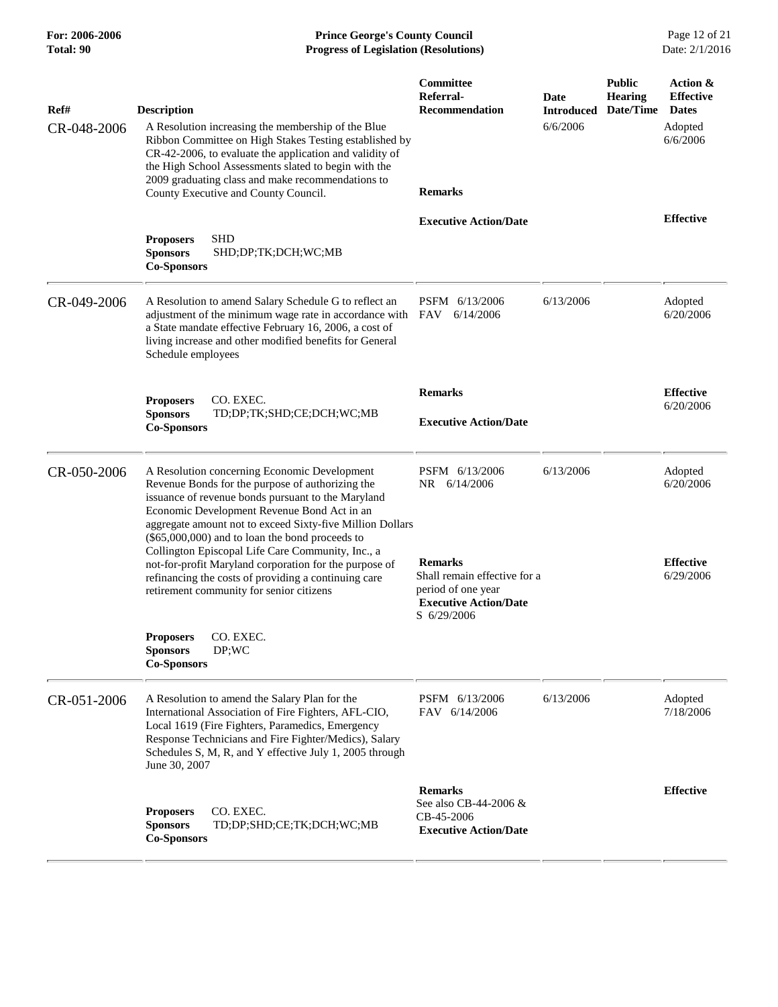**For: 2006-2006 Prince George's County Council** Page 12 of 21<br>**Prince George's County Council** Page 12 of 21<br>**Progress of Legislation (Resolutions)** Date: 2/1/2016 **Total: 90 Progress of Legislation (Resolutions)** 

| Ref#<br>CR-048-2006 | <b>Description</b><br>A Resolution increasing the membership of the Blue<br>Ribbon Committee on High Stakes Testing established by<br>CR-42-2006, to evaluate the application and validity of<br>the High School Assessments slated to begin with the<br>2009 graduating class and make recommendations to<br>County Executive and County Council.                                                                                                                                                                                       | Committee<br>Referral-<br><b>Recommendation</b><br><b>Remarks</b>                                                                                     | Date<br><b>Introduced</b><br>6/6/2006 | <b>Public</b><br>Hearing<br>Date/Time | Action &<br><b>Effective</b><br><b>Dates</b><br>Adopted<br>6/6/2006 |
|---------------------|------------------------------------------------------------------------------------------------------------------------------------------------------------------------------------------------------------------------------------------------------------------------------------------------------------------------------------------------------------------------------------------------------------------------------------------------------------------------------------------------------------------------------------------|-------------------------------------------------------------------------------------------------------------------------------------------------------|---------------------------------------|---------------------------------------|---------------------------------------------------------------------|
|                     | <b>SHD</b><br><b>Proposers</b><br>SHD;DP;TK;DCH;WC;MB<br><b>Sponsors</b><br><b>Co-Sponsors</b>                                                                                                                                                                                                                                                                                                                                                                                                                                           | <b>Executive Action/Date</b>                                                                                                                          |                                       |                                       | <b>Effective</b>                                                    |
| CR-049-2006         | A Resolution to amend Salary Schedule G to reflect an<br>adjustment of the minimum wage rate in accordance with FAV<br>a State mandate effective February 16, 2006, a cost of<br>living increase and other modified benefits for General<br>Schedule employees                                                                                                                                                                                                                                                                           | PSFM 6/13/2006<br>6/14/2006                                                                                                                           | 6/13/2006                             |                                       | Adopted<br>6/20/2006                                                |
|                     | CO. EXEC.<br><b>Proposers</b><br><b>Sponsors</b><br>TD;DP;TK;SHD;CE;DCH;WC;MB<br><b>Co-Sponsors</b>                                                                                                                                                                                                                                                                                                                                                                                                                                      | <b>Remarks</b><br><b>Executive Action/Date</b>                                                                                                        |                                       |                                       | <b>Effective</b><br>6/20/2006                                       |
| CR-050-2006         | A Resolution concerning Economic Development<br>Revenue Bonds for the purpose of authorizing the<br>issuance of revenue bonds pursuant to the Maryland<br>Economic Development Revenue Bond Act in an<br>aggregate amount not to exceed Sixty-five Million Dollars<br>(\$65,000,000) and to loan the bond proceeds to<br>Collington Episcopal Life Care Community, Inc., a<br>not-for-profit Maryland corporation for the purpose of<br>refinancing the costs of providing a continuing care<br>retirement community for senior citizens | PSFM 6/13/2006<br>NR 6/14/2006<br><b>Remarks</b><br>Shall remain effective for a<br>period of one year<br><b>Executive Action/Date</b><br>S 6/29/2006 | 6/13/2006                             |                                       | Adopted<br>6/20/2006<br><b>Effective</b><br>6/29/2006               |
|                     | CO. EXEC.<br><b>Proposers</b><br><b>Sponsors</b><br>DP;WC<br><b>Co-Sponsors</b>                                                                                                                                                                                                                                                                                                                                                                                                                                                          |                                                                                                                                                       |                                       |                                       |                                                                     |
| CR-051-2006         | A Resolution to amend the Salary Plan for the<br>International Association of Fire Fighters, AFL-CIO,<br>Local 1619 (Fire Fighters, Paramedics, Emergency<br>Response Technicians and Fire Fighter/Medics), Salary<br>Schedules S, M, R, and Y effective July 1, 2005 through<br>June 30, 2007                                                                                                                                                                                                                                           | PSFM 6/13/2006<br>FAV 6/14/2006                                                                                                                       | 6/13/2006                             |                                       | Adopted<br>7/18/2006                                                |
|                     | CO. EXEC.<br><b>Proposers</b><br><b>Sponsors</b><br>TD;DP;SHD;CE;TK;DCH;WC;MB<br><b>Co-Sponsors</b>                                                                                                                                                                                                                                                                                                                                                                                                                                      | <b>Remarks</b><br>See also CB-44-2006 &<br>CB-45-2006<br><b>Executive Action/Date</b>                                                                 |                                       |                                       | <b>Effective</b>                                                    |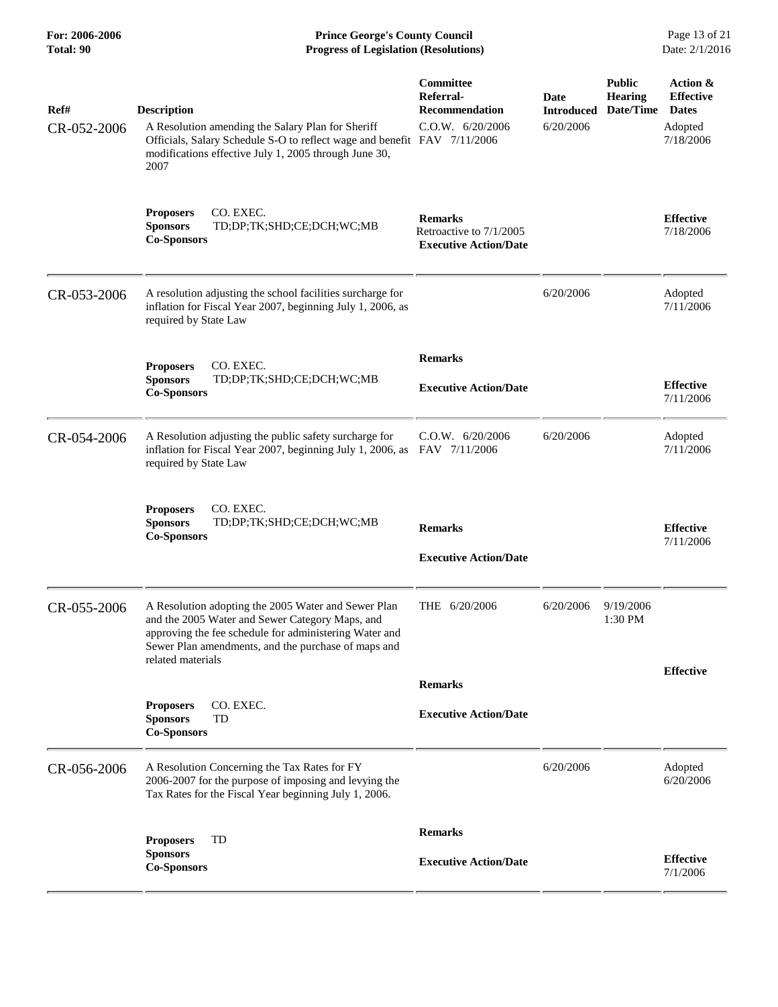**For: 2006-2006 Prince George's County Council** Page 13 of 21<br>**Prince George's County Council** Page 13 of 21<br>**Progress of Legislation (Resolutions)** Date: 2/1/2016 **Total: 90 Progress of Legislation (Resolutions)** 

| Ref#        | <b>Description</b>                                                                                                                                                                                                                           | Committee<br>Referral-<br><b>Recommendation</b>                           | <b>Date</b><br><b>Introduced</b> | <b>Public</b><br><b>Hearing</b><br>Date/Time | Action &<br><b>Effective</b><br><b>Dates</b> |
|-------------|----------------------------------------------------------------------------------------------------------------------------------------------------------------------------------------------------------------------------------------------|---------------------------------------------------------------------------|----------------------------------|----------------------------------------------|----------------------------------------------|
| CR-052-2006 | A Resolution amending the Salary Plan for Sheriff<br>Officials, Salary Schedule S-O to reflect wage and benefit FAV 7/11/2006<br>modifications effective July 1, 2005 through June 30,<br>2007                                               | C.0.W. 6/20/2006                                                          | 6/20/2006                        |                                              | Adopted<br>7/18/2006                         |
|             | CO. EXEC.<br><b>Proposers</b><br><b>Sponsors</b><br>TD;DP;TK;SHD;CE;DCH;WC;MB<br><b>Co-Sponsors</b>                                                                                                                                          | <b>Remarks</b><br>Retroactive to 7/1/2005<br><b>Executive Action/Date</b> |                                  |                                              | <b>Effective</b><br>7/18/2006                |
| CR-053-2006 | A resolution adjusting the school facilities surcharge for<br>inflation for Fiscal Year 2007, beginning July 1, 2006, as<br>required by State Law                                                                                            |                                                                           | 6/20/2006                        |                                              | Adopted<br>7/11/2006                         |
|             |                                                                                                                                                                                                                                              | <b>Remarks</b>                                                            |                                  |                                              |                                              |
|             | CO. EXEC.<br><b>Proposers</b><br><b>Sponsors</b><br>TD;DP;TK;SHD;CE;DCH;WC;MB                                                                                                                                                                |                                                                           |                                  |                                              | <b>Effective</b>                             |
|             | <b>Co-Sponsors</b>                                                                                                                                                                                                                           | <b>Executive Action/Date</b>                                              |                                  |                                              | 7/11/2006                                    |
| CR-054-2006 | A Resolution adjusting the public safety surcharge for<br>inflation for Fiscal Year 2007, beginning July 1, 2006, as<br>required by State Law                                                                                                | $C.0.W.$ 6/20/2006<br>FAV 7/11/2006                                       | 6/20/2006                        |                                              | Adopted<br>7/11/2006                         |
|             | <b>Proposers</b><br>CO. EXEC.<br><b>Sponsors</b><br>TD;DP;TK;SHD;CE;DCH;WC;MB<br><b>Co-Sponsors</b>                                                                                                                                          | <b>Remarks</b><br><b>Executive Action/Date</b>                            |                                  |                                              | <b>Effective</b><br>7/11/2006                |
|             |                                                                                                                                                                                                                                              |                                                                           |                                  |                                              |                                              |
| CR-055-2006 | A Resolution adopting the 2005 Water and Sewer Plan<br>and the 2005 Water and Sewer Category Maps, and<br>approving the fee schedule for administering Water and<br>Sewer Plan amendments, and the purchase of maps and<br>related materials | THE 6/20/2006                                                             | 6/20/2006                        | 9/19/2006<br>1:30 PM                         |                                              |
|             |                                                                                                                                                                                                                                              | <b>Remarks</b>                                                            |                                  |                                              | <b>Effective</b>                             |
|             | CO. EXEC.<br><b>Proposers</b><br><b>Sponsors</b><br>TD<br><b>Co-Sponsors</b>                                                                                                                                                                 | <b>Executive Action/Date</b>                                              |                                  |                                              |                                              |
| CR-056-2006 | A Resolution Concerning the Tax Rates for FY<br>2006-2007 for the purpose of imposing and levying the<br>Tax Rates for the Fiscal Year beginning July 1, 2006.                                                                               |                                                                           | 6/20/2006                        |                                              | Adopted<br>6/20/2006                         |
|             |                                                                                                                                                                                                                                              | <b>Remarks</b>                                                            |                                  |                                              |                                              |
|             | TD<br><b>Proposers</b><br><b>Sponsors</b><br><b>Co-Sponsors</b>                                                                                                                                                                              | <b>Executive Action/Date</b>                                              |                                  |                                              | <b>Effective</b><br>7/1/2006                 |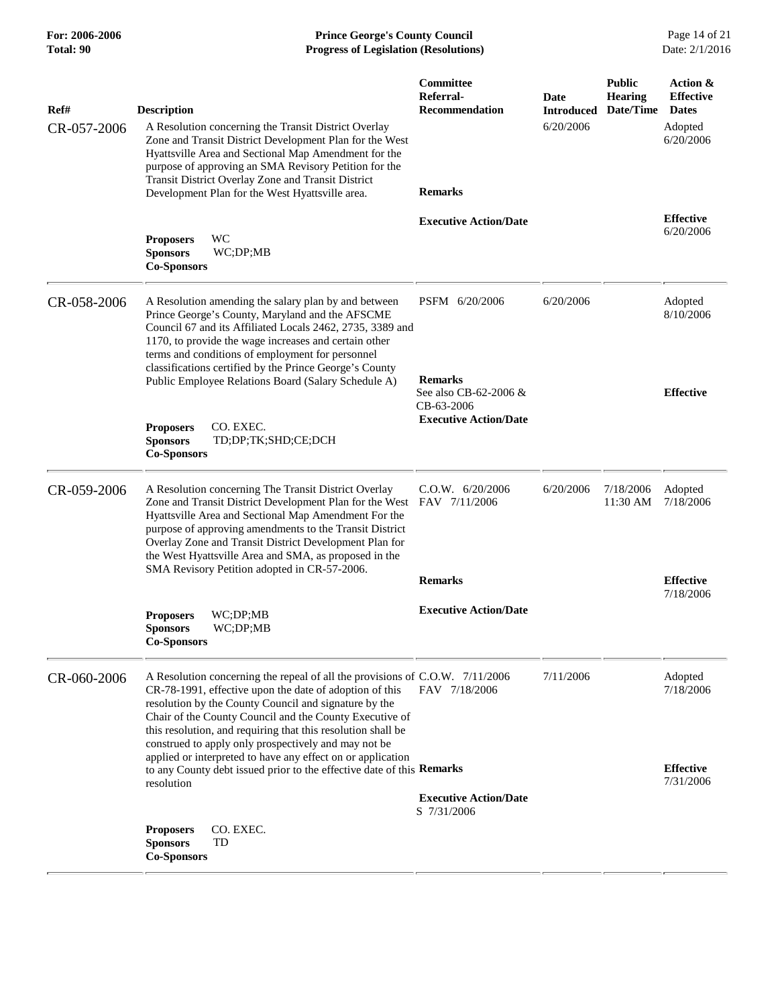| <b>For: 2006-2006</b><br>Total: 90 | <b>Prince George's County Council</b><br><b>Progress of Legislation (Resolutions)</b>                                                                                                                                                                                                                                                                                                                               |                                                                         |                                        |                                              |                                                                      |
|------------------------------------|---------------------------------------------------------------------------------------------------------------------------------------------------------------------------------------------------------------------------------------------------------------------------------------------------------------------------------------------------------------------------------------------------------------------|-------------------------------------------------------------------------|----------------------------------------|----------------------------------------------|----------------------------------------------------------------------|
| Ref#<br>CR-057-2006                | <b>Description</b><br>A Resolution concerning the Transit District Overlay<br>Zone and Transit District Development Plan for the West<br>Hyattsville Area and Sectional Map Amendment for the<br>purpose of approving an SMA Revisory Petition for the<br>Transit District Overlay Zone and Transit District<br>Development Plan for the West Hyattsville area.                                                     | Committee<br>Referral-<br><b>Recommendation</b><br><b>Remarks</b>       | Date<br><b>Introduced</b><br>6/20/2006 | <b>Public</b><br><b>Hearing</b><br>Date/Time | Action &<br><b>Effective</b><br><b>Dates</b><br>Adopted<br>6/20/2006 |
|                                    | WC<br><b>Proposers</b><br><b>Sponsors</b><br>WC;DP;MB<br><b>Co-Sponsors</b>                                                                                                                                                                                                                                                                                                                                         | <b>Executive Action/Date</b>                                            |                                        |                                              | <b>Effective</b><br>6/20/2006                                        |
| CR-058-2006                        | A Resolution amending the salary plan by and between<br>Prince George's County, Maryland and the AFSCME<br>Council 67 and its Affiliated Locals 2462, 2735, 3389 and<br>1170, to provide the wage increases and certain other<br>terms and conditions of employment for personnel<br>classifications certified by the Prince George's County<br>Public Employee Relations Board (Salary Schedule A)                 | PSFM 6/20/2006<br><b>Remarks</b><br>See also CB-62-2006 &<br>CB-63-2006 | 6/20/2006                              |                                              | Adopted<br>8/10/2006<br><b>Effective</b>                             |
|                                    | CO. EXEC.<br><b>Proposers</b><br><b>Sponsors</b><br>TD;DP;TK;SHD;CE;DCH<br><b>Co-Sponsors</b>                                                                                                                                                                                                                                                                                                                       | <b>Executive Action/Date</b>                                            |                                        |                                              |                                                                      |
| CR-059-2006                        | A Resolution concerning The Transit District Overlay<br>Zone and Transit District Development Plan for the West FAV 7/11/2006<br>Hyattsville Area and Sectional Map Amendment For the<br>purpose of approving amendments to the Transit District<br>Overlay Zone and Transit District Development Plan for<br>the West Hyattsville Area and SMA, as proposed in the<br>SMA Revisory Petition adopted in CR-57-2006. | C.O.W. 6/20/2006                                                        | 6/20/2006                              | 7/18/2006<br>11:30 AM                        | Adopted<br>7/18/2006                                                 |
|                                    | WC;DP;MB<br><b>Proposers</b><br><b>Sponsors</b><br>WC;DP;MB<br><b>Co-Sponsors</b>                                                                                                                                                                                                                                                                                                                                   | <b>Remarks</b><br><b>Executive Action/Date</b>                          |                                        |                                              | <b>Effective</b><br>7/18/2006                                        |
| CR-060-2006                        | A Resolution concerning the repeal of all the provisions of C.O.W. 7/11/2006<br>CR-78-1991, effective upon the date of adoption of this<br>resolution by the County Council and signature by the<br>Chair of the County Council and the County Executive of<br>this resolution, and requiring that this resolution shall be<br>construed to apply only prospectively and may not be                                 | FAV 7/18/2006                                                           | 7/11/2006                              |                                              | Adopted<br>7/18/2006                                                 |
|                                    | applied or interpreted to have any effect on or application<br>to any County debt issued prior to the effective date of this Remarks<br>resolution                                                                                                                                                                                                                                                                  | <b>Executive Action/Date</b><br>S 7/31/2006                             |                                        |                                              | <b>Effective</b><br>7/31/2006                                        |
|                                    | CO. EXEC.<br><b>Proposers</b><br>TD<br><b>Sponsors</b><br><b>Co-Sponsors</b>                                                                                                                                                                                                                                                                                                                                        |                                                                         |                                        |                                              |                                                                      |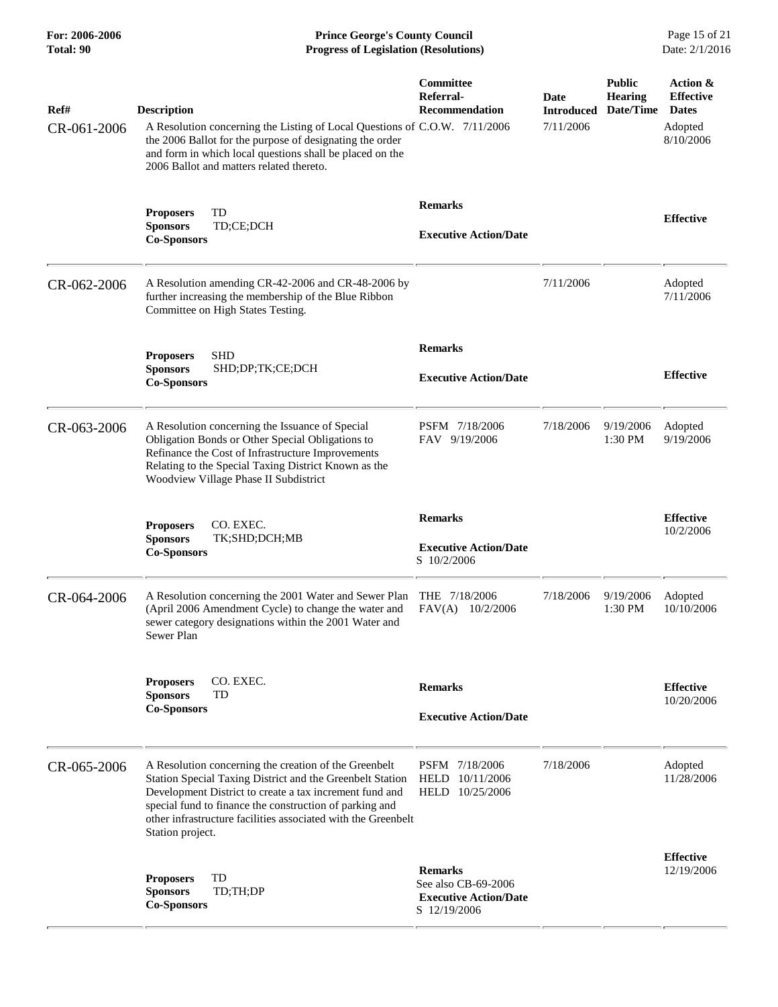**For: 2006-2006 Prince George's County Council** Page 15 of 21<br>**Prince George's County Council** Page 15 of 21<br>**Progress of Legislation (Resolutions)** Date: 2/1/2016 **Total: 90 Progress of Legislation (Resolutions)** 

| Ref#<br>CR-061-2006 | <b>Description</b><br>A Resolution concerning the Listing of Local Questions of C.O.W. 7/11/2006<br>the 2006 Ballot for the purpose of designating the order<br>and form in which local questions shall be placed on the<br>2006 Ballot and matters related thereto.                                                          | Committee<br>Referral-<br><b>Recommendation</b>                                       | Date<br><b>Introduced</b><br>7/11/2006 | <b>Public</b><br><b>Hearing</b><br>Date/Time | Action &<br><b>Effective</b><br><b>Dates</b><br>Adopted<br>8/10/2006 |
|---------------------|-------------------------------------------------------------------------------------------------------------------------------------------------------------------------------------------------------------------------------------------------------------------------------------------------------------------------------|---------------------------------------------------------------------------------------|----------------------------------------|----------------------------------------------|----------------------------------------------------------------------|
|                     | TD<br><b>Proposers</b><br>TD;CE;DCH<br><b>Sponsors</b><br><b>Co-Sponsors</b>                                                                                                                                                                                                                                                  | <b>Remarks</b><br><b>Executive Action/Date</b>                                        |                                        |                                              | <b>Effective</b>                                                     |
| CR-062-2006         | A Resolution amending CR-42-2006 and CR-48-2006 by<br>further increasing the membership of the Blue Ribbon<br>Committee on High States Testing.                                                                                                                                                                               |                                                                                       | 7/11/2006                              |                                              | Adopted<br>7/11/2006                                                 |
|                     | <b>Proposers</b><br><b>SHD</b><br><b>Sponsors</b><br>SHD;DP;TK;CE;DCH<br><b>Co-Sponsors</b>                                                                                                                                                                                                                                   | <b>Remarks</b><br><b>Executive Action/Date</b>                                        |                                        |                                              | <b>Effective</b>                                                     |
| CR-063-2006         | A Resolution concerning the Issuance of Special<br>Obligation Bonds or Other Special Obligations to<br>Refinance the Cost of Infrastructure Improvements<br>Relating to the Special Taxing District Known as the<br>Woodview Village Phase II Subdistrict                                                                     | PSFM 7/18/2006<br>FAV 9/19/2006                                                       | 7/18/2006                              | 9/19/2006<br>1:30 PM                         | Adopted<br>9/19/2006                                                 |
|                     | CO. EXEC.<br><b>Proposers</b><br><b>Sponsors</b><br>TK;SHD;DCH;MB<br><b>Co-Sponsors</b>                                                                                                                                                                                                                                       | <b>Remarks</b><br><b>Executive Action/Date</b><br>S 10/2/2006                         |                                        |                                              | <b>Effective</b><br>10/2/2006                                        |
| CR-064-2006         | A Resolution concerning the 2001 Water and Sewer Plan<br>(April 2006 Amendment Cycle) to change the water and<br>sewer category designations within the 2001 Water and<br>Sewer Plan                                                                                                                                          | THE 7/18/2006<br>FAV(A)<br>10/2/2006                                                  | 7/18/2006                              | 9/19/2006<br>1:30 PM                         | Adopted<br>10/10/2006                                                |
|                     | CO. EXEC.<br><b>Proposers</b><br><b>Sponsors</b><br>TD<br><b>Co-Sponsors</b>                                                                                                                                                                                                                                                  | <b>Remarks</b><br><b>Executive Action/Date</b>                                        |                                        |                                              | <b>Effective</b><br>10/20/2006                                       |
| CR-065-2006         | A Resolution concerning the creation of the Greenbelt<br>Station Special Taxing District and the Greenbelt Station<br>Development District to create a tax increment fund and<br>special fund to finance the construction of parking and<br>other infrastructure facilities associated with the Greenbelt<br>Station project. | PSFM 7/18/2006<br>HELD 10/11/2006<br>HELD 10/25/2006                                  | 7/18/2006                              |                                              | Adopted<br>11/28/2006                                                |
|                     | TD<br><b>Proposers</b><br>TD;TH;DP<br><b>Sponsors</b><br><b>Co-Sponsors</b>                                                                                                                                                                                                                                                   | <b>Remarks</b><br>See also CB-69-2006<br><b>Executive Action/Date</b><br>S 12/19/2006 |                                        |                                              | <b>Effective</b><br>12/19/2006                                       |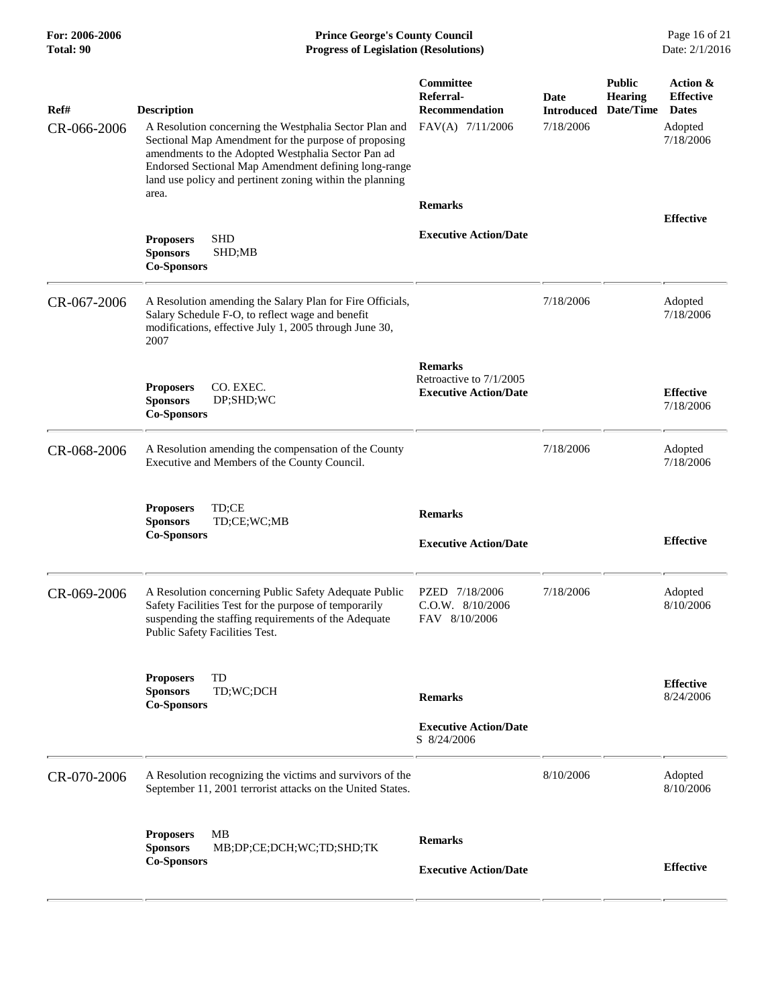# **For: 2006-2006 Prince George's County Council** Page 16 of 21<br>**Prince George's County Council** Page 16 of 21<br>**Progress of Legislation (Resolutions)** Date: 2/1/2016 **Total: 90 Progress of Legislation (Resolutions)**

| Ref#        | <b>Description</b>                                                                                                                                                                                                                                                                                | Committee<br>Referral-<br><b>Recommendation</b>                           | Date<br><b>Introduced</b> | <b>Public</b><br><b>Hearing</b><br>Date/Time | Action &<br><b>Effective</b><br><b>Dates</b> |
|-------------|---------------------------------------------------------------------------------------------------------------------------------------------------------------------------------------------------------------------------------------------------------------------------------------------------|---------------------------------------------------------------------------|---------------------------|----------------------------------------------|----------------------------------------------|
| CR-066-2006 | A Resolution concerning the Westphalia Sector Plan and<br>Sectional Map Amendment for the purpose of proposing<br>amendments to the Adopted Westphalia Sector Pan ad<br>Endorsed Sectional Map Amendment defining long-range<br>land use policy and pertinent zoning within the planning<br>area. | FAV(A) 7/11/2006                                                          | 7/18/2006                 |                                              | Adopted<br>7/18/2006                         |
|             |                                                                                                                                                                                                                                                                                                   | <b>Remarks</b>                                                            |                           |                                              | <b>Effective</b>                             |
|             | <b>SHD</b><br><b>Proposers</b><br><b>Sponsors</b><br>SHD;MB<br><b>Co-Sponsors</b>                                                                                                                                                                                                                 | <b>Executive Action/Date</b>                                              |                           |                                              |                                              |
| CR-067-2006 | A Resolution amending the Salary Plan for Fire Officials,<br>Salary Schedule F-O, to reflect wage and benefit<br>modifications, effective July 1, 2005 through June 30,<br>2007                                                                                                                   |                                                                           | 7/18/2006                 |                                              | Adopted<br>7/18/2006                         |
|             | <b>Proposers</b><br>CO. EXEC.<br>DP;SHD;WC<br><b>Sponsors</b><br><b>Co-Sponsors</b>                                                                                                                                                                                                               | <b>Remarks</b><br>Retroactive to 7/1/2005<br><b>Executive Action/Date</b> |                           |                                              | <b>Effective</b><br>7/18/2006                |
| CR-068-2006 | A Resolution amending the compensation of the County<br>Executive and Members of the County Council.                                                                                                                                                                                              |                                                                           | 7/18/2006                 |                                              | Adopted<br>7/18/2006                         |
|             | <b>Proposers</b><br>TD:CE<br><b>Sponsors</b><br>TD;CE;WC;MB<br><b>Co-Sponsors</b>                                                                                                                                                                                                                 | <b>Remarks</b>                                                            |                           |                                              |                                              |
|             |                                                                                                                                                                                                                                                                                                   | <b>Executive Action/Date</b>                                              |                           |                                              | <b>Effective</b>                             |
| CR-069-2006 | A Resolution concerning Public Safety Adequate Public<br>Safety Facilities Test for the purpose of temporarily<br>suspending the staffing requirements of the Adequate<br>Public Safety Facilities Test.                                                                                          | PZED 7/18/2006<br>$C.0.W.$ 8/10/2006<br>FAV 8/10/2006                     | 7/18/2006                 |                                              | Adopted<br>8/10/2006                         |
|             | TD<br><b>Proposers</b><br><b>Sponsors</b><br>TD;WC;DCH<br><b>Co-Sponsors</b>                                                                                                                                                                                                                      | <b>Remarks</b>                                                            |                           |                                              | <b>Effective</b><br>8/24/2006                |
|             |                                                                                                                                                                                                                                                                                                   | <b>Executive Action/Date</b><br>S 8/24/2006                               |                           |                                              |                                              |
| CR-070-2006 | A Resolution recognizing the victims and survivors of the<br>September 11, 2001 terrorist attacks on the United States.                                                                                                                                                                           |                                                                           | 8/10/2006                 |                                              | Adopted<br>8/10/2006                         |
|             | MB<br><b>Proposers</b><br><b>Sponsors</b><br>MB;DP;CE;DCH;WC;TD;SHD;TK<br><b>Co-Sponsors</b>                                                                                                                                                                                                      | <b>Remarks</b>                                                            |                           |                                              | <b>Effective</b>                             |
|             |                                                                                                                                                                                                                                                                                                   | <b>Executive Action/Date</b>                                              |                           |                                              |                                              |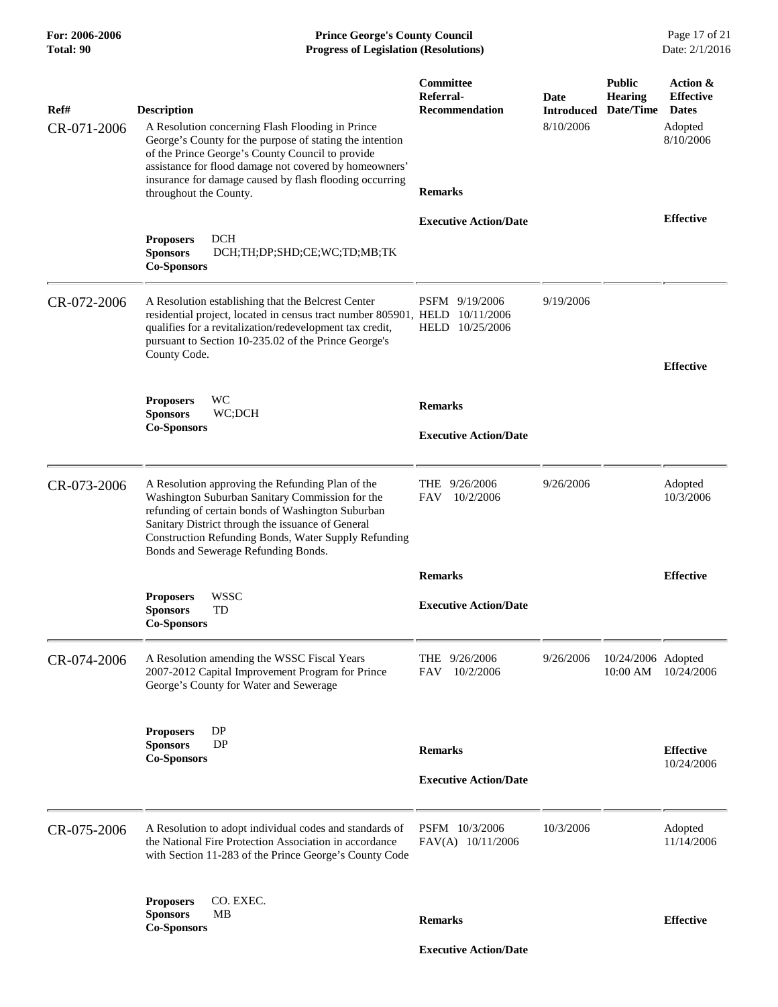| For: 2006-2006<br>Total: 90 | <b>Prince George's County Council</b><br>Date: 2/1/2016<br><b>Progress of Legislation (Resolutions)</b>                                                                                                                                                                                                                               |                                                                          |                                        |                                              |                                                                      |
|-----------------------------|---------------------------------------------------------------------------------------------------------------------------------------------------------------------------------------------------------------------------------------------------------------------------------------------------------------------------------------|--------------------------------------------------------------------------|----------------------------------------|----------------------------------------------|----------------------------------------------------------------------|
| Ref#<br>CR-071-2006         | <b>Description</b><br>A Resolution concerning Flash Flooding in Prince<br>George's County for the purpose of stating the intention<br>of the Prince George's County Council to provide<br>assistance for flood damage not covered by homeowners'<br>insurance for damage caused by flash flooding occurring<br>throughout the County. | <b>Committee</b><br>Referral-<br><b>Recommendation</b><br><b>Remarks</b> | Date<br><b>Introduced</b><br>8/10/2006 | <b>Public</b><br><b>Hearing</b><br>Date/Time | Action &<br><b>Effective</b><br><b>Dates</b><br>Adopted<br>8/10/2006 |
|                             |                                                                                                                                                                                                                                                                                                                                       | <b>Executive Action/Date</b>                                             |                                        |                                              | <b>Effective</b>                                                     |
|                             | <b>DCH</b><br><b>Proposers</b><br><b>Sponsors</b><br>DCH;TH;DP;SHD;CE;WC;TD;MB;TK<br><b>Co-Sponsors</b>                                                                                                                                                                                                                               |                                                                          |                                        |                                              |                                                                      |
| CR-072-2006                 | A Resolution establishing that the Belcrest Center<br>residential project, located in census tract number 805901, HELD 10/11/2006<br>qualifies for a revitalization/redevelopment tax credit,<br>pursuant to Section 10-235.02 of the Prince George's<br>County Code.                                                                 | PSFM 9/19/2006<br>HELD 10/25/2006                                        | 9/19/2006                              |                                              | <b>Effective</b>                                                     |
|                             | WC<br><b>Proposers</b>                                                                                                                                                                                                                                                                                                                | <b>Remarks</b>                                                           |                                        |                                              |                                                                      |
|                             | <b>Sponsors</b><br>WC;DCH<br><b>Co-Sponsors</b>                                                                                                                                                                                                                                                                                       | <b>Executive Action/Date</b>                                             |                                        |                                              |                                                                      |
| CR-073-2006                 | A Resolution approving the Refunding Plan of the<br>Washington Suburban Sanitary Commission for the<br>refunding of certain bonds of Washington Suburban<br>Sanitary District through the issuance of General<br>Construction Refunding Bonds, Water Supply Refunding<br>Bonds and Sewerage Refunding Bonds.                          | THE 9/26/2006<br><b>FAV</b><br>10/2/2006                                 | 9/26/2006                              |                                              | Adopted<br>10/3/2006                                                 |
|                             |                                                                                                                                                                                                                                                                                                                                       | <b>Remarks</b>                                                           |                                        |                                              | <b>Effective</b>                                                     |
|                             | WSSC<br><b>Proposers</b><br>TD<br><b>Sponsors</b><br><b>Co-Sponsors</b>                                                                                                                                                                                                                                                               | <b>Executive Action/Date</b>                                             |                                        |                                              |                                                                      |
| CR-074-2006                 | A Resolution amending the WSSC Fiscal Years<br>2007-2012 Capital Improvement Program for Prince<br>George's County for Water and Sewerage                                                                                                                                                                                             | THE 9/26/2006<br>10/2/2006<br>FAV                                        | 9/26/2006                              | 10/24/2006 Adopted                           | 10:00 AM 10/24/2006                                                  |
|                             | DP<br><b>Proposers</b><br><b>DP</b><br><b>Sponsors</b><br><b>Co-Sponsors</b>                                                                                                                                                                                                                                                          | <b>Remarks</b>                                                           |                                        |                                              | <b>Effective</b><br>10/24/2006                                       |
|                             |                                                                                                                                                                                                                                                                                                                                       | <b>Executive Action/Date</b>                                             |                                        |                                              |                                                                      |
| CR-075-2006                 | A Resolution to adopt individual codes and standards of<br>the National Fire Protection Association in accordance<br>with Section 11-283 of the Prince George's County Code                                                                                                                                                           | PSFM 10/3/2006<br>FAV(A) 10/11/2006                                      | 10/3/2006                              |                                              | Adopted<br>11/14/2006                                                |
|                             | CO. EXEC.<br><b>Proposers</b><br><b>Sponsors</b><br>MВ<br><b>Co-Sponsors</b>                                                                                                                                                                                                                                                          | <b>Remarks</b>                                                           |                                        |                                              | <b>Effective</b>                                                     |
|                             |                                                                                                                                                                                                                                                                                                                                       | <b>Executive Action/Date</b>                                             |                                        |                                              |                                                                      |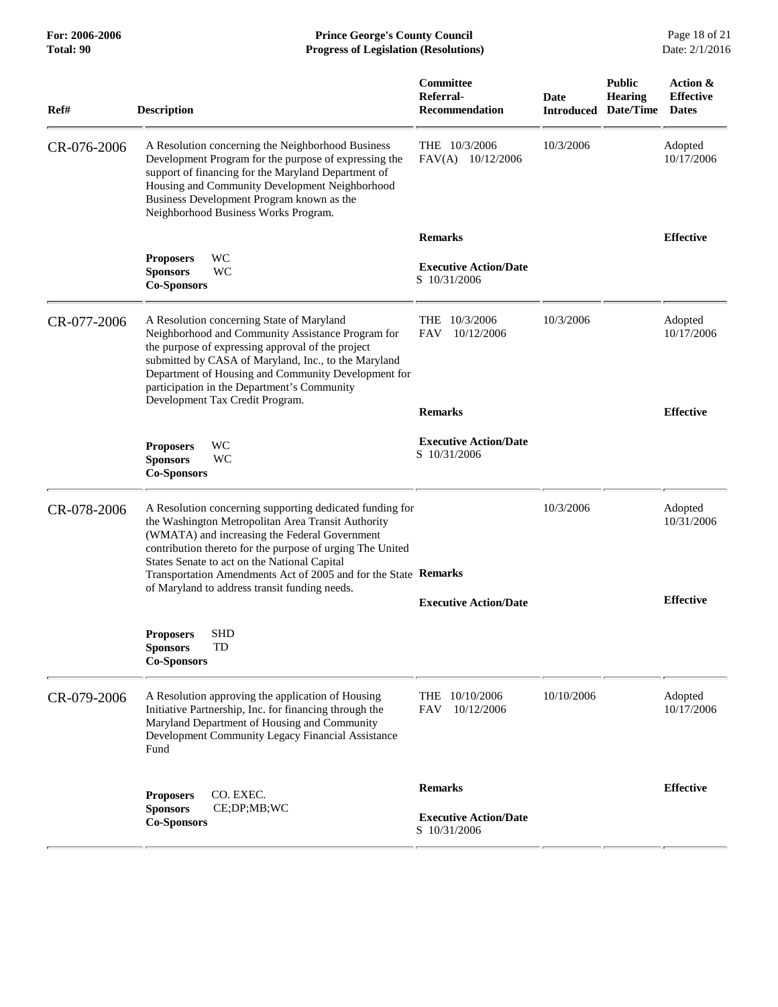| Ref#        | <b>Description</b>                                                                                                                                                                                                                                                                                                                                                                               | Committee<br>Referral-<br><b>Recommendation</b> | Date<br><b>Introduced</b> | <b>Public</b><br><b>Hearing</b><br>Date/Time | Action &<br><b>Effective</b><br><b>Dates</b> |
|-------------|--------------------------------------------------------------------------------------------------------------------------------------------------------------------------------------------------------------------------------------------------------------------------------------------------------------------------------------------------------------------------------------------------|-------------------------------------------------|---------------------------|----------------------------------------------|----------------------------------------------|
| CR-076-2006 | A Resolution concerning the Neighborhood Business<br>Development Program for the purpose of expressing the<br>support of financing for the Maryland Department of<br>Housing and Community Development Neighborhood<br>Business Development Program known as the<br>Neighborhood Business Works Program.                                                                                         | THE 10/3/2006<br>FAV(A)<br>10/12/2006           | 10/3/2006                 |                                              | Adopted<br>10/17/2006                        |
|             |                                                                                                                                                                                                                                                                                                                                                                                                  | <b>Remarks</b>                                  |                           |                                              | <b>Effective</b>                             |
|             | <b>WC</b><br><b>Proposers</b><br><b>Sponsors</b><br><b>WC</b><br><b>Co-Sponsors</b>                                                                                                                                                                                                                                                                                                              | <b>Executive Action/Date</b><br>S 10/31/2006    |                           |                                              |                                              |
| CR-077-2006 | A Resolution concerning State of Maryland<br>Neighborhood and Community Assistance Program for<br>the purpose of expressing approval of the project<br>submitted by CASA of Maryland, Inc., to the Maryland<br>Department of Housing and Community Development for<br>participation in the Department's Community<br>Development Tax Credit Program.                                             | 10/3/2006<br>THE<br>10/12/2006<br><b>FAV</b>    | 10/3/2006                 |                                              | Adopted<br>10/17/2006                        |
|             |                                                                                                                                                                                                                                                                                                                                                                                                  | <b>Remarks</b>                                  |                           |                                              | <b>Effective</b>                             |
|             | WC<br><b>Proposers</b><br><b>Sponsors</b><br>WС<br><b>Co-Sponsors</b>                                                                                                                                                                                                                                                                                                                            | <b>Executive Action/Date</b><br>S 10/31/2006    |                           |                                              |                                              |
| CR-078-2006 | A Resolution concerning supporting dedicated funding for<br>the Washington Metropolitan Area Transit Authority<br>(WMATA) and increasing the Federal Government<br>contribution thereto for the purpose of urging The United<br>States Senate to act on the National Capital<br>Transportation Amendments Act of 2005 and for the State Remarks<br>of Maryland to address transit funding needs. |                                                 | 10/3/2006                 |                                              | Adopted<br>10/31/2006                        |
|             |                                                                                                                                                                                                                                                                                                                                                                                                  | <b>Executive Action/Date</b>                    |                           |                                              | <b>Effective</b>                             |
|             | SHD<br><b>Proposers</b><br>TD<br><b>Sponsors</b><br><b>Co-Sponsors</b>                                                                                                                                                                                                                                                                                                                           |                                                 |                           |                                              |                                              |
| CR-079-2006 | A Resolution approving the application of Housing<br>Initiative Partnership, Inc. for financing through the<br>Maryland Department of Housing and Community<br>Development Community Legacy Financial Assistance<br>Fund                                                                                                                                                                         | THE<br>10/10/2006<br><b>FAV</b><br>10/12/2006   | 10/10/2006                |                                              | Adopted<br>10/17/2006                        |
|             |                                                                                                                                                                                                                                                                                                                                                                                                  | <b>Remarks</b>                                  |                           |                                              | <b>Effective</b>                             |
|             | <b>Proposers</b><br>CO. EXEC.<br>CE;DP;MB;WC<br><b>Sponsors</b><br><b>Co-Sponsors</b>                                                                                                                                                                                                                                                                                                            | <b>Executive Action/Date</b><br>S 10/31/2006    |                           |                                              |                                              |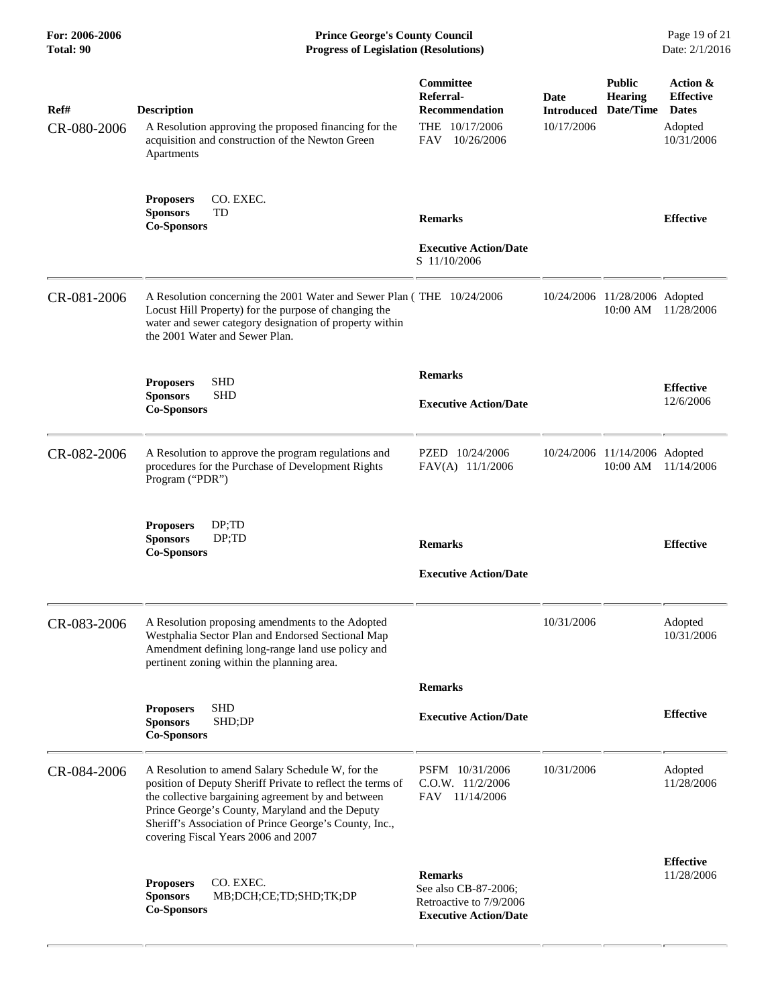**For: 2006-2006 Prince George's County Council** Page 19 of 21<br>**Prince George's County Council** Page 19 of 21<br>**Progress of Legislation (Resolutions)** Date: 2/1/2016 **Total: 90 Progress of Legislation (Resolutions)** 

| Ref#<br>CR-080-2006 | <b>Description</b><br>A Resolution approving the proposed financing for the<br>acquisition and construction of the Newton Green<br>Apartments                                                                                                                                                                            | Committee<br>Referral-<br><b>Recommendation</b><br>THE 10/17/2006<br><b>FAV</b><br>10/26/2006     | Date<br><b>Introduced</b><br>10/17/2006 | <b>Public</b><br><b>Hearing</b><br>Date/Time | Action &<br><b>Effective</b><br><b>Dates</b><br>Adopted<br>10/31/2006 |
|---------------------|--------------------------------------------------------------------------------------------------------------------------------------------------------------------------------------------------------------------------------------------------------------------------------------------------------------------------|---------------------------------------------------------------------------------------------------|-----------------------------------------|----------------------------------------------|-----------------------------------------------------------------------|
|                     | <b>Proposers</b><br>CO. EXEC.<br><b>Sponsors</b><br>TD<br><b>Co-Sponsors</b>                                                                                                                                                                                                                                             | <b>Remarks</b><br><b>Executive Action/Date</b><br>S 11/10/2006                                    |                                         |                                              | <b>Effective</b>                                                      |
| CR-081-2006         | A Resolution concerning the 2001 Water and Sewer Plan (THE 10/24/2006<br>Locust Hill Property) for the purpose of changing the<br>water and sewer category designation of property within<br>the 2001 Water and Sewer Plan.                                                                                              |                                                                                                   |                                         | 10/24/2006 11/28/2006 Adopted<br>10:00 AM    | 11/28/2006                                                            |
|                     | <b>SHD</b><br><b>Proposers</b><br><b>SHD</b><br><b>Sponsors</b><br><b>Co-Sponsors</b>                                                                                                                                                                                                                                    | <b>Remarks</b><br><b>Executive Action/Date</b>                                                    |                                         |                                              | <b>Effective</b><br>12/6/2006                                         |
| CR-082-2006         | A Resolution to approve the program regulations and<br>procedures for the Purchase of Development Rights<br>Program ("PDR")                                                                                                                                                                                              | PZED 10/24/2006<br>FAV(A) 11/1/2006                                                               |                                         | 10/24/2006 11/14/2006 Adopted<br>10:00 AM    | 11/14/2006                                                            |
|                     | DP; TD<br><b>Proposers</b><br><b>Sponsors</b><br>DP;TD<br><b>Co-Sponsors</b>                                                                                                                                                                                                                                             | <b>Remarks</b><br><b>Executive Action/Date</b>                                                    |                                         |                                              | <b>Effective</b>                                                      |
| CR-083-2006         | A Resolution proposing amendments to the Adopted<br>Westphalia Sector Plan and Endorsed Sectional Map<br>Amendment defining long-range land use policy and<br>pertinent zoning within the planning area.                                                                                                                 |                                                                                                   | 10/31/2006                              |                                              | Adopted<br>10/31/2006                                                 |
|                     |                                                                                                                                                                                                                                                                                                                          | <b>Remarks</b>                                                                                    |                                         |                                              |                                                                       |
|                     | <b>SHD</b><br><b>Proposers</b><br><b>Sponsors</b><br>SHD;DP<br><b>Co-Sponsors</b>                                                                                                                                                                                                                                        | <b>Executive Action/Date</b>                                                                      |                                         |                                              | <b>Effective</b>                                                      |
| CR-084-2006         | A Resolution to amend Salary Schedule W, for the<br>position of Deputy Sheriff Private to reflect the terms of<br>the collective bargaining agreement by and between<br>Prince George's County, Maryland and the Deputy<br>Sheriff's Association of Prince George's County, Inc.,<br>covering Fiscal Years 2006 and 2007 | PSFM 10/31/2006<br>$C.0.W.$ 11/2/2006<br>FAV 11/14/2006                                           | 10/31/2006                              |                                              | Adopted<br>11/28/2006                                                 |
|                     | <b>Proposers</b><br>CO. EXEC.<br><b>Sponsors</b><br>MB;DCH;CE;TD;SHD;TK;DP<br><b>Co-Sponsors</b>                                                                                                                                                                                                                         | <b>Remarks</b><br>See also CB-87-2006;<br>Retroactive to 7/9/2006<br><b>Executive Action/Date</b> |                                         |                                              | <b>Effective</b><br>11/28/2006                                        |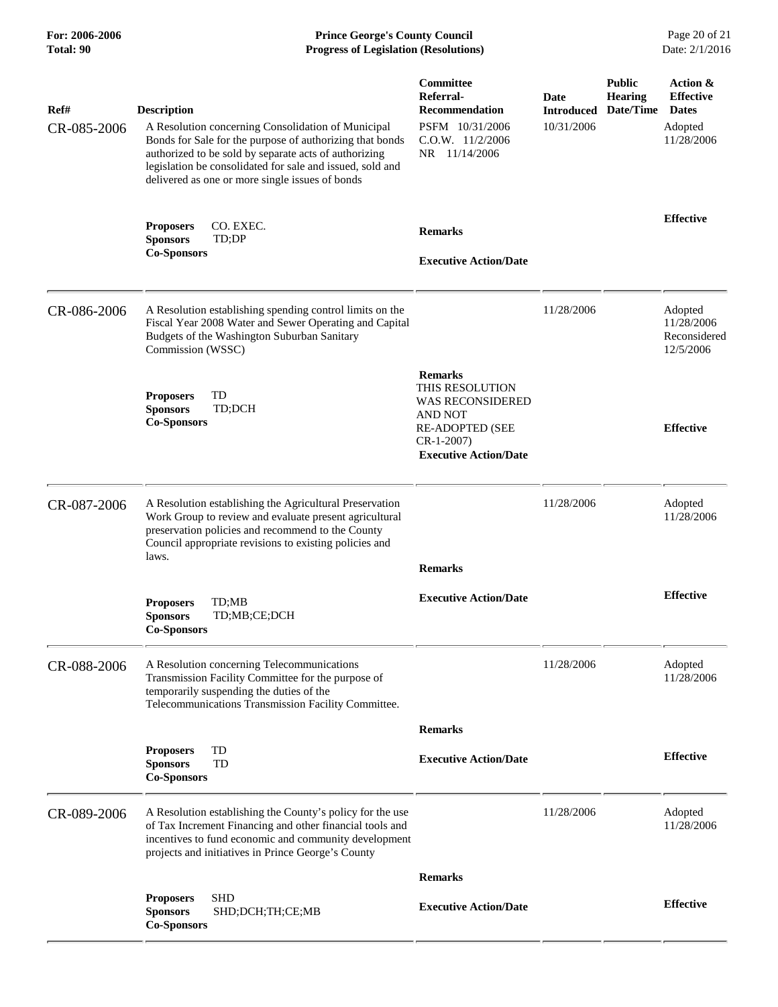# **For: 2006-2006 Prince George's County Council** Page 20 of 21 **Progress of Legislation (Resolutions)** Page 20 of 21 **Progress of Legislation (Resolutions)** Date: 2/1/2016 **Total: 90 Progress of Legislation (Resolutions)**

| Ref#        | <b>Description</b>                                                                                                                                                                                                                                                                      | Committee<br>Referral-<br><b>Recommendation</b>                                                                                                  | Date<br><b>Introduced</b> | <b>Public</b><br><b>Hearing</b><br>Date/Time | Action &<br><b>Effective</b><br><b>Dates</b>       |
|-------------|-----------------------------------------------------------------------------------------------------------------------------------------------------------------------------------------------------------------------------------------------------------------------------------------|--------------------------------------------------------------------------------------------------------------------------------------------------|---------------------------|----------------------------------------------|----------------------------------------------------|
| CR-085-2006 | A Resolution concerning Consolidation of Municipal<br>Bonds for Sale for the purpose of authorizing that bonds<br>authorized to be sold by separate acts of authorizing<br>legislation be consolidated for sale and issued, sold and<br>delivered as one or more single issues of bonds | PSFM 10/31/2006<br>$C.0.W.$ 11/2/2006<br>NR 11/14/2006                                                                                           | 10/31/2006                |                                              | Adopted<br>11/28/2006                              |
|             | <b>Proposers</b><br>CO. EXEC.<br><b>Sponsors</b><br>TD;DP<br><b>Co-Sponsors</b>                                                                                                                                                                                                         | <b>Remarks</b><br><b>Executive Action/Date</b>                                                                                                   |                           |                                              | <b>Effective</b>                                   |
|             |                                                                                                                                                                                                                                                                                         |                                                                                                                                                  |                           |                                              |                                                    |
| CR-086-2006 | A Resolution establishing spending control limits on the<br>Fiscal Year 2008 Water and Sewer Operating and Capital<br>Budgets of the Washington Suburban Sanitary<br>Commission (WSSC)                                                                                                  |                                                                                                                                                  | 11/28/2006                |                                              | Adopted<br>11/28/2006<br>Reconsidered<br>12/5/2006 |
|             | TD<br><b>Proposers</b><br><b>Sponsors</b><br>TD;DCH<br><b>Co-Sponsors</b>                                                                                                                                                                                                               | <b>Remarks</b><br>THIS RESOLUTION<br><b>WAS RECONSIDERED</b><br>AND NOT<br><b>RE-ADOPTED (SEE</b><br>$CR-1-2007$<br><b>Executive Action/Date</b> |                           |                                              | <b>Effective</b>                                   |
| CR-087-2006 | A Resolution establishing the Agricultural Preservation<br>Work Group to review and evaluate present agricultural<br>preservation policies and recommend to the County<br>Council appropriate revisions to existing policies and<br>laws.                                               | <b>Remarks</b>                                                                                                                                   | 11/28/2006                |                                              | Adopted<br>11/28/2006                              |
|             | <b>Proposers</b><br>TD;MB<br><b>Sponsors</b><br>TD;MB;CE;DCH<br><b>Co-Sponsors</b>                                                                                                                                                                                                      | <b>Executive Action/Date</b>                                                                                                                     |                           |                                              | <b>Effective</b>                                   |
| CR-088-2006 | A Resolution concerning Telecommunications<br>Transmission Facility Committee for the purpose of<br>temporarily suspending the duties of the<br>Telecommunications Transmission Facility Committee.                                                                                     |                                                                                                                                                  | 11/28/2006                |                                              | Adopted<br>11/28/2006                              |
|             |                                                                                                                                                                                                                                                                                         | <b>Remarks</b>                                                                                                                                   |                           |                                              |                                                    |
|             | TD<br><b>Proposers</b><br><b>Sponsors</b><br>TD<br><b>Co-Sponsors</b>                                                                                                                                                                                                                   | <b>Executive Action/Date</b>                                                                                                                     |                           |                                              | <b>Effective</b>                                   |
| CR-089-2006 | A Resolution establishing the County's policy for the use<br>of Tax Increment Financing and other financial tools and<br>incentives to fund economic and community development<br>projects and initiatives in Prince George's County                                                    |                                                                                                                                                  | 11/28/2006                |                                              | Adopted<br>11/28/2006                              |
|             |                                                                                                                                                                                                                                                                                         | <b>Remarks</b>                                                                                                                                   |                           |                                              |                                                    |
|             | <b>SHD</b><br><b>Proposers</b><br>SHD;DCH;TH;CE;MB<br><b>Sponsors</b><br><b>Co-Sponsors</b>                                                                                                                                                                                             | <b>Executive Action/Date</b>                                                                                                                     |                           |                                              | <b>Effective</b>                                   |